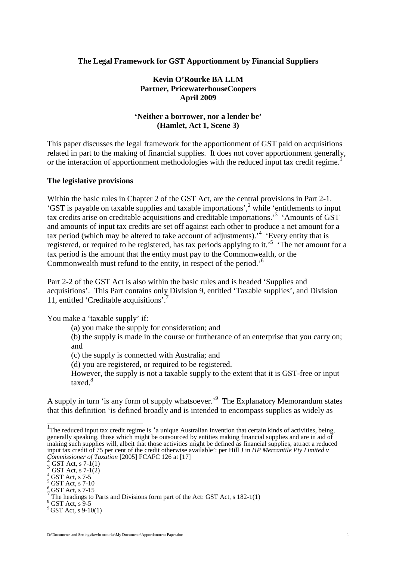#### **The Legal Framework for GST Apportionment by Financial Suppliers**

#### **Kevin O'Rourke BA LLM Partner, PricewaterhouseCoopers April 2009**

#### **'Neither a borrower, nor a lender be' (Hamlet, Act 1, Scene 3)**

This paper discusses the legal framework for the apportionment of GST paid on acquisitions related in part to the making of financial supplies. It does not cover apportionment generally, or the interaction of apportionment methodologies with the reduced input tax credit regime.<sup>[1](#page-0-0)</sup>

#### **The legislative provisions**

Within the basic rules in Chapter 2 of the GST Act, are the central provisions in Part 2-1. 'GST is payable on taxable supplies and taxable importations',  $2^{\circ}$  $2^{\circ}$  while 'entitlements to input tax credits arise on creditable acquisitions and creditable importations.'[3](#page-0-2) 'Amounts of GST and amounts of input tax credits are set off against each other to produce a net amount for a tax period (which may be altered to take account of adjustments).<sup>[4](#page-0-3)</sup> 'Every entity that is registered,or required to be registered, has tax periods applying to it.<sup>5</sup> The net amount for a tax period is the amount that the entity must pay to the Commonwealth, or the Commonwealth must refund to the entity, in respect of the period.'[6](#page-0-5)

Part 2-2 of the GST Act is also within the basic rules and is headed 'Supplies and acquisitions'. This Part contains only Division 9, entitled 'Taxable supplies', and Division 11, entitled 'Creditable acquisitions'.[7](#page-0-6)

You make a 'taxable supply' if:

(a) you make the supply for consideration; and

(b) the supply is made in the course or furtherance of an enterprise that you carry on; and

(c) the supply is connected with Australia; and

(d) you are registered, or required to be registered.

However, the supply is not a taxable supply to the extent that it is GST-free or input taxed.<sup>[8](#page-0-7)</sup>

A supply in turn 'is any form of supply whatsoever.'<sup>[9](#page-0-8)</sup> The Explanatory Memorandum states that this definition 'is defined broadly and is intended to encompass supplies as widely as

<span id="page-0-0"></span><sup>&</sup>lt;sup>1</sup>The reduced input tax credit regime is 'a unique Australian invention that certain kinds of activities, being, generally speaking, those which might be outsourced by entities making financial supplies and are in aid of making such supplies will, albeit that those activities might be defined as financial supplies, attract a reduced input tax credit of 75 per cent of the credit otherwise available': per Hill J in *HP Mercantile Pty Limited v Commissioner of Taxation* [2005] FCAFC 126 at [17] <sup>2</sup>

<span id="page-0-2"></span><span id="page-0-1"></span> $\frac{2}{3}$  GST Act, s 7-1(1)<br>GST Act, s 7-1(2)

<span id="page-0-3"></span> $4$  GST Act, s 7-5

<span id="page-0-4"></span> $5$  GST Act, s 7-10

<span id="page-0-6"></span>

<span id="page-0-5"></span> $^{6}_{7}$  GST Act, s 7-15<br>
The headings to Parts and Divisions form part of the Act: GST Act, s 182-1(1)

<span id="page-0-7"></span> $8$  GST Act, s 9-5

<span id="page-0-8"></span> $9^9$  GST Act, s 9-10(1)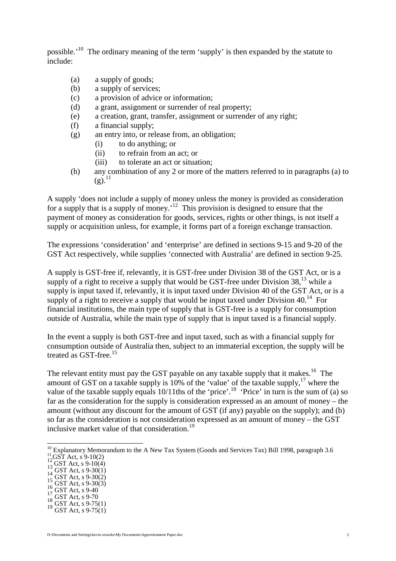possible.'[10](#page-1-0) The ordinary meaning of the term 'supply' is then expanded by the statute to include:

- (a) a supply of goods;
- (b) a supply of services;
- (c) a provision of advice or information;
- (d) a grant, assignment or surrender of real property;
- (e) a creation, grant, transfer, assignment or surrender of any right;
- (f) a financial supply;
- (g) an entry into, or release from, an obligation;
	- (i) to do anything; or
	- (ii) to refrain from an act; or
	- (iii) to tolerate an act or situation;
- (h) any combination of any 2 or more of the matters referred to in paragraphs (a) to  $(g).^{11}$  $(g).^{11}$  $(g).^{11}$

A supply 'does not include a supply of money unless the money is provided as consideration for a supply that is a supply of money.<sup> $12$ </sup> This provision is designed to ensure that the payment of money as consideration for goods, services, rights or other things, is not itself a supply or acquisition unless, for example, it forms part of a foreign exchange transaction.

The expressions 'consideration' and 'enterprise' are defined in sections 9-15 and 9-20 of the GST Act respectively, while supplies 'connected with Australia' are defined in section 9-25.

A supply is GST-free if, relevantly, it is GST-free under Division 38 of the GST Act, or is a supplyof a right to receive a supply that would be GST-free under Division  $38$ <sup>13</sup>, while a supply is input taxed if, relevantly, it is input taxed under Division 40 of the GST Act, or is a supplyof a right to receive a supply that would be input taxed under Division  $40<sup>14</sup>$  For financial institutions, the main type of supply that is GST-free is a supply for consumption outside of Australia, while the main type of supply that is input taxed is a financial supply.

In the event a supply is both GST-free and input taxed, such as with a financial supply for consumption outside of Australia then, subject to an immaterial exception, the supply will be treated as GST-free.<sup>[15](#page-1-5)</sup>

The relevant entity must pay the GST payable on any taxable supply that it makes.<sup>[16](#page-1-6)</sup> The amount of GST on a taxable supply is 10% of the 'value' of the taxable supply, $17$  where the value of the taxable supply equals  $10/11$ ths of the 'price'.<sup>[18](#page-1-8)</sup> 'Price' in turn is the sum of (a) so far as the consideration for the supply is consideration expressed as an amount of money – the amount (without any discount for the amount of GST (if any) payable on the supply); and (b) so far as the consideration is not consideration expressed as an amount of money – the GST inclusive market value of that consideration.[19](#page-1-9)

- <span id="page-1-2"></span>
- <span id="page-1-3"></span>
- <span id="page-1-5"></span><span id="page-1-4"></span>
- <span id="page-1-1"></span><sup>11</sup> GST Act, s 9-10(2)<br><sup>12</sup> GST Act, s 9-10(4)<br><sup>13</sup> GST Act, s 9-30(1)<br><sup>14</sup> GST Act, s 9-30(2)<br><sup>16</sup> GST Act, s 9-40<br><sup>17</sup> GST Act, s 9-70<br><sup>18</sup> GST Act, s 9-75(1)<br>0 GST Act, s 9-75(1)
- <span id="page-1-7"></span><span id="page-1-6"></span>
- <span id="page-1-8"></span>
- <span id="page-1-9"></span>
- 

<span id="page-1-0"></span> $\frac{10}{10}$  Explanatory Memorandum to the A New Tax System (Goods and Services Tax) Bill 1998, paragraph 3.6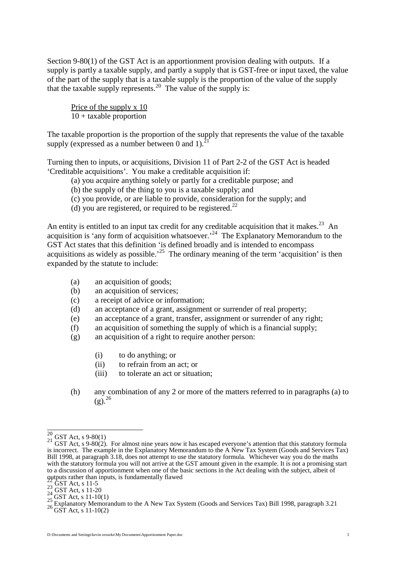Section 9-80(1) of the GST Act is an apportionment provision dealing with outputs. If a supply is partly a taxable supply, and partly a supply that is GST-free or input taxed, the value of the part of the supply that is a taxable supply is the proportion of the value of the supply that the taxable supply represents.<sup>[20](#page-2-0)</sup> The value of the supply is:

Price of the supply x 10 10 + taxable proportion

The taxable proportion is the proportion of the supply that represents the value of the taxable supply(expressed as a number between  $0$  and  $1$ ).

Turning then to inputs, or acquisitions, Division 11 of Part 2-2 of the GST Act is headed 'Creditable acquisitions'. You make a creditable acquisition if:

- (a) you acquire anything solely or partly for a creditable purpose; and
- (b) the supply of the thing to you is a taxable supply; and
- (c) you provide, or are liable to provide, consideration for the supply; and
- (d) you are registered, or required to be registered.<sup>[22](#page-2-2)</sup>

An entity is entitled to an input tax credit for any creditable acquisition that it makes.<sup>[23](#page-2-3)</sup> An acquisition is 'any form of acquisition whatsoever.<sup>[24](#page-2-4)</sup> The Explanatory Memorandum to the GST Act states that this definition 'is defined broadly and is intended to encompass acquisitions as widely as possible.<sup>[25](#page-2-5)</sup> The ordinary meaning of the term 'acquisition' is then expanded by the statute to include:

- (a) an acquisition of goods;
- (b) an acquisition of services;
- (c) a receipt of advice or information;
- (d) an acceptance of a grant, assignment or surrender of real property;
- (e) an acceptance of a grant, transfer, assignment or surrender of any right;
- (f) an acquisition of something the supply of which is a financial supply;
- (g) an acquisition of a right to require another person:
	- (i) to do anything; or
	- (ii) to refrain from an act; or
	- (iii) to tolerate an act or situation;
- (h) any combination of any 2 or more of the matters referred to in paragraphs (a) to  $(g)^{26}$  $(g)^{26}$  $(g)^{26}$

<span id="page-2-1"></span>

<span id="page-2-0"></span><sup>&</sup>lt;sup>20</sup> GST Act, s 9-80(1)<br><sup>21</sup> GST Act, s 9-80(2). For almost nine years now it has escaped everyone's attention that this statutory formula is incorrect. The example in the Explanatory Memorandum to the A New Tax System (Goods and Services Tax) Bill 1998, at paragraph 3.18, does not attempt to use the statutory formula. Whichever way you do the maths with the statutory formula you will not arrive at the GST amount given in the example. It is not a promising start to a discussion of apportionment when one of the basic sections in the Act dealing with the subject, albeit of outputs rather than inputs, is fundamentally flawed

<span id="page-2-3"></span>

<span id="page-2-4"></span>

<span id="page-2-6"></span><span id="page-2-5"></span>

<span id="page-2-2"></span>Surplus rather than inputs, is fundamentally flawed<br>
23 GST Act, s 11-5<br>
24 GST Act, s 11-20<br>
25 GST Act, s 11-10(1)<br>
25 Explanatory Memorandum to the A New Tax System (Goods and Services Tax) Bill 1998, paragraph 3.21<br>
2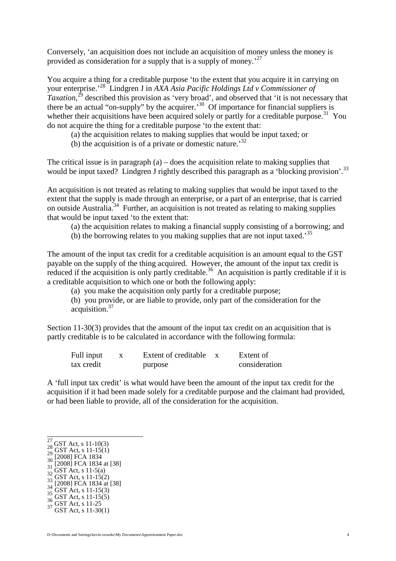Conversely, 'an acquisition does not include an acquisition of money unless the money is provided as consideration for a supply that is a supply of money.<sup>[27](#page-3-0)</sup>

You acquire a thing for a creditable purpose 'to the extent that you acquire it in carrying on your enterprise.'[28](#page-3-1) Lindgren J in *AXA Asia Pacific Holdings Ltd v Commissioner of Taxation*, [29](#page-3-2) described this provision as 'very broad', and observed that 'it is not necessary that there be an actual "on-supply" by the acquirer.<sup>[30](#page-3-3)</sup> Of importance for financial suppliers is whether their acquisitions have been acquired solely or partly for a creditable purpose.<sup>[31](#page-3-4)</sup> You do not acquire the thing for a creditable purpose 'to the extent that:

(a) the acquisition relates to making supplies that would be input taxed; or

(b) the acquisition is of a private or domestic nature.<sup>[32](#page-3-5)</sup>

The critical issue is in paragraph (a) – does the acquisition relate to making supplies that would be input taxed? Lindgren J rightly described this paragraph as a 'blocking provision'.<sup>[33](#page-3-6)</sup>

An acquisition is not treated as relating to making supplies that would be input taxed to the extent that the supply is made through an enterprise, or a part of an enterprise, that is carried on outside Australia.[34](#page-3-7) Further, an acquisition is not treated as relating to making supplies that would be input taxed 'to the extent that:

(a) the acquisition relates to making a financial supply consisting of a borrowing; and

(b) the borrowing relates to you making supplies that are not input taxed.<sup>[35](#page-3-8)</sup>

The amount of the input tax credit for a creditable acquisition is an amount equal to the GST payable on the supply of the thing acquired. However, the amount of the input tax credit is reduced if the acquisition is only partly creditable.<sup>[36](#page-3-9)</sup> An acquisition is partly creditable if it is a creditable acquisition to which one or both the following apply:

(a) you make the acquisition only partly for a creditable purpose;

(b) you provide, or are liable to provide, only part of the consideration for the acquisition.[37](#page-3-10)

Section 11-30(3) provides that the amount of the input tax credit on an acquisition that is partly creditable is to be calculated in accordance with the following formula:

| Full input | Extent of creditable | Extent of     |
|------------|----------------------|---------------|
| tax credit | purpose              | consideration |

A 'full input tax credit' is what would have been the amount of the input tax credit for the acquisition if it had been made solely for a creditable purpose and the claimant had provided, or had been liable to provide, all of the consideration for the acquisition.

- <span id="page-3-3"></span>
- <span id="page-3-4"></span>
- <span id="page-3-6"></span><span id="page-3-5"></span>
- 27 GST Act, s 11-10(3)<br>
28 GST Act, s 11-15(1)<br>
29 GST Act, s 11-15(1)<br>
30 [2008] FCA 1834<br>
31 [2008] FCA 1834 at [38]<br>
32 GST Act, s 11-5(2)<br>
33 [2008] FCA 1834 at [38]<br>
35 GST Act, s 11-15(3)<br>
36 GST Act, s 11-15(5)<br>
36
- <span id="page-3-8"></span><span id="page-3-7"></span>
- <span id="page-3-9"></span>

<span id="page-3-1"></span><span id="page-3-0"></span>

<span id="page-3-2"></span>

<span id="page-3-10"></span>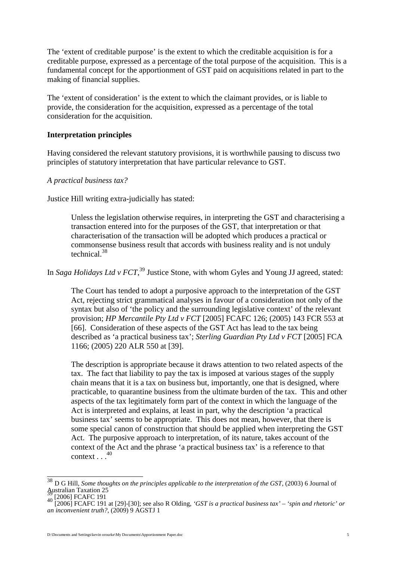The 'extent of creditable purpose' is the extent to which the creditable acquisition is for a creditable purpose, expressed as a percentage of the total purpose of the acquisition. This is a fundamental concept for the apportionment of GST paid on acquisitions related in part to the making of financial supplies.

The 'extent of consideration' is the extent to which the claimant provides, or is liable to provide, the consideration for the acquisition, expressed as a percentage of the total consideration for the acquisition.

#### **Interpretation principles**

Having considered the relevant statutory provisions, it is worthwhile pausing to discuss two principles of statutory interpretation that have particular relevance to GST.

*A practical business tax?*

Justice Hill writing extra-judicially has stated:

Unless the legislation otherwise requires, in interpreting the GST and characterising a transaction entered into for the purposes of the GST, that interpretation or that characterisation of the transaction will be adopted which produces a practical or commonsense business result that accords with business reality and is not unduly technical.[38](#page-4-0)

In *Saga Holidays Ltd v FCT*,<sup>[39](#page-4-1)</sup> Justice Stone, with whom Gyles and Young JJ agreed, stated:

The Court has tended to adopt a purposive approach to the interpretation of the GST Act, rejecting strict grammatical analyses in favour of a consideration not only of the syntax but also of 'the policy and the surrounding legislative context' of the relevant provision; *HP Mercantile Pty Ltd v FCT* [2005] FCAFC 126; (2005) 143 FCR 553 at [66]. Consideration of these aspects of the GST Act has lead to the tax being described as 'a practical business tax'; *Sterling Guardian Pty Ltd v FCT* [2005] FCA 1166; (2005) 220 ALR 550 at [39].

The description is appropriate because it draws attention to two related aspects of the tax. The fact that liability to pay the tax is imposed at various stages of the supply chain means that it is a tax on business but, importantly, one that is designed, where practicable, to quarantine business from the ultimate burden of the tax. This and other aspects of the tax legitimately form part of the context in which the language of the Act is interpreted and explains, at least in part, why the description 'a practical business tax' seems to be appropriate. This does not mean, however, that there is some special canon of construction that should be applied when interpreting the GST Act. The purposive approach to interpretation, of its nature, takes account of the context of the Act and the phrase 'a practical business tax' is a reference to that context $\ldots^{40}$ 

<span id="page-4-0"></span><sup>&</sup>lt;sup>38</sup> D G Hill, *Some thoughts on the principles applicable to the interpretation of the GST*, (2003) 6 Journal of Australian Taxation 25

<span id="page-4-2"></span>

<span id="page-4-1"></span>Australian Taxation 25 <sup>39</sup> [2006] FCAFC 191 <sup>40</sup> [2006] FCAFC 191 at [29]-[30]; see also R Olding, *'GST is a practical business tax' – 'spin and rhetoric' or an inconvenient truth?*, (2009) 9 AGSTJ 1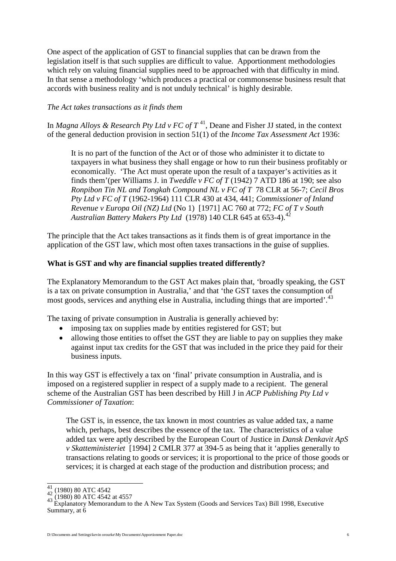One aspect of the application of GST to financial supplies that can be drawn from the legislation itself is that such supplies are difficult to value. Apportionment methodologies which rely on valuing financial supplies need to be approached with that difficulty in mind. In that sense a methodology 'which produces a practical or commonsense business result that accords with business reality and is not unduly technical' is highly desirable.

## *The Act takes transactions as it finds them*

In*Magna Alloys & Research Pty Ltd v FC of*  $T^{41}$ , Deane and Fisher JJ stated, in the context of the general deduction provision in section 51(1) of the *Income Tax Assessment Act* 1936:

It is no part of the function of the Act or of those who administer it to dictate to taxpayers in what business they shall engage or how to run their business profitably or economically. 'The Act must operate upon the result of a taxpayer's activities as it finds them'(per Williams J. in *Tweddle v FC of T* (1942) 7 ATD 186 at 190; see also *Ronpibon Tin NL and Tongkah Compound NL v FC of T* 78 CLR at 56-7; *Cecil Bros Pty Ltd v FC of T* (1962-1964) 111 CLR 430 at 434, 441; *Commissioner of Inland Revenue v Europa Oil (NZ) Ltd* (No 1) [1971] AC 760 at 772; *FC of T v South Australian Battery Makers Pty Ltd* (1978) 140 CLR 645 at 653-4).[42](#page-5-1)

The principle that the Act takes transactions as it finds them is of great importance in the application of the GST law, which most often taxes transactions in the guise of supplies.

#### **What is GST and why are financial supplies treated differently?**

The Explanatory Memorandum to the GST Act makes plain that, 'broadly speaking, the GST is a tax on private consumption in Australia,' and that 'the GST taxes the consumption of most goods, services and anything else in Australia, including things that are imported'.<sup>[43](#page-5-2)</sup>

The taxing of private consumption in Australia is generally achieved by:

- imposing tax on supplies made by entities registered for GST; but
- allowing those entities to offset the GST they are liable to pay on supplies they make against input tax credits for the GST that was included in the price they paid for their business inputs.

In this way GST is effectively a tax on 'final' private consumption in Australia, and is imposed on a registered supplier in respect of a supply made to a recipient. The general scheme of the Australian GST has been described by Hill J in *ACP Publishing Pty Ltd v Commissioner of Taxation*:

The GST is, in essence, the tax known in most countries as value added tax, a name which, perhaps, best describes the essence of the tax. The characteristics of a value added tax were aptly described by the European Court of Justice in *Dansk Denkavit ApS v Skatteministeriet* [1994] 2 CMLR 377 at 394-5 as being that it 'applies generally to transactions relating to goods or services; it is proportional to the price of those goods or services; it is charged at each stage of the production and distribution process; and

<span id="page-5-1"></span><span id="page-5-0"></span>

<span id="page-5-2"></span>

<sup>&</sup>lt;sup>41</sup> (1980) 80 ATC 4542<br><sup>42</sup> (1980) 80 ATC 4542 at 4557<br>43 Explanatory Memorandum to the A New Tax System (Goods and Services Tax) Bill 1998, Executive Summary, at 6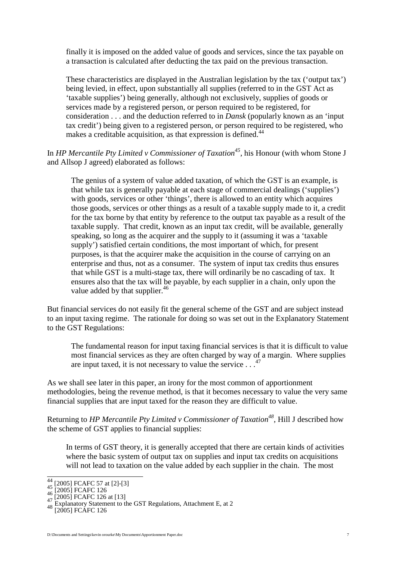finally it is imposed on the added value of goods and services, since the tax payable on a transaction is calculated after deducting the tax paid on the previous transaction.

These characteristics are displayed in the Australian legislation by the tax ('output tax') being levied, in effect, upon substantially all supplies (referred to in the GST Act as 'taxable supplies') being generally, although not exclusively, supplies of goods or services made by a registered person, or person required to be registered, for consideration . . . and the deduction referred to in *Dansk* (popularly known as an 'input tax credit') being given to a registered person, or person required to be registered, who makes a creditable acquisition, as that expression is defined.<sup>[44](#page-6-0)</sup>

In *HP Mercantile Pty Limited v Commissioner of Taxation[45](#page-6-1)*, his Honour (with whom Stone J and Allsop J agreed) elaborated as follows:

The genius of a system of value added taxation, of which the GST is an example, is that while tax is generally payable at each stage of commercial dealings ('supplies') with goods, services or other 'things', there is allowed to an entity which acquires those goods, services or other things as a result of a taxable supply made to it, a credit for the tax borne by that entity by reference to the output tax payable as a result of the taxable supply. That credit, known as an input tax credit, will be available, generally speaking, so long as the acquirer and the supply to it (assuming it was a 'taxable supply') satisfied certain conditions, the most important of which, for present purposes, is that the acquirer make the acquisition in the course of carrying on an enterprise and thus, not as a consumer. The system of input tax credits thus ensures that while GST is a multi-stage tax, there will ordinarily be no cascading of tax. It ensures also that the tax will be payable, by each supplier in a chain, only upon the value added by that supplier.<sup>[46](#page-6-2)</sup>

But financial services do not easily fit the general scheme of the GST and are subject instead to an input taxing regime. The rationale for doing so was set out in the Explanatory Statement to the GST Regulations:

The fundamental reason for input taxing financial services is that it is difficult to value most financial services as they are often charged by way of a margin. Where supplies areinput taxed, it is not necessary to value the service  $\ldots$ <sup>47</sup>

As we shall see later in this paper, an irony for the most common of apportionment methodologies, being the revenue method, is that it becomes necessary to value the very same financial supplies that are input taxed for the reason they are difficult to value.

Returning to *HP Mercantile Pty Limited v Commissioner of Taxation[48](#page-6-4)*, Hill J described how the scheme of GST applies to financial supplies:

In terms of GST theory, it is generally accepted that there are certain kinds of activities where the basic system of output tax on supplies and input tax credits on acquisitions will not lead to taxation on the value added by each supplier in the chain. The most

<span id="page-6-0"></span>

<span id="page-6-2"></span><span id="page-6-1"></span>

<span id="page-6-3"></span>

<sup>44 [2005]</sup> FCAFC 57 at [2]-[3]<br>
45 [2005] FCAFC 126<br>
47 [2005] FCAFC 126 at [13]<br>
48 Explanatory Statement to the GST Regulations, Attachment E, at 2<br>
[2005] FCAFC 126

<span id="page-6-4"></span>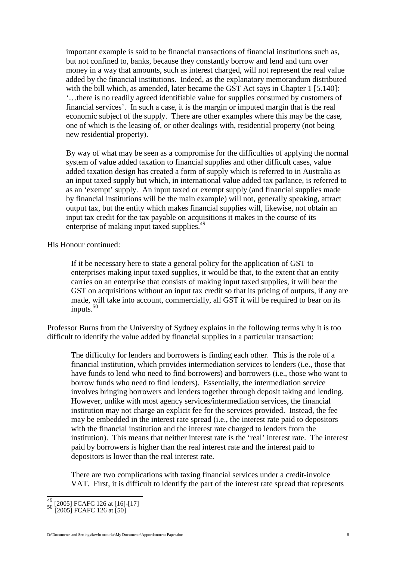important example is said to be financial transactions of financial institutions such as, but not confined to, banks, because they constantly borrow and lend and turn over money in a way that amounts, such as interest charged, will not represent the real value added by the financial institutions. Indeed, as the explanatory memorandum distributed with the bill which, as amended, later became the GST Act says in Chapter 1 [5.140]: '…there is no readily agreed identifiable value for supplies consumed by customers of financial services'. In such a case, it is the margin or imputed margin that is the real economic subject of the supply. There are other examples where this may be the case, one of which is the leasing of, or other dealings with, residential property (not being new residential property).

By way of what may be seen as a compromise for the difficulties of applying the normal system of value added taxation to financial supplies and other difficult cases, value added taxation design has created a form of supply which is referred to in Australia as an input taxed supply but which, in international value added tax parlance, is referred to as an 'exempt' supply. An input taxed or exempt supply (and financial supplies made by financial institutions will be the main example) will not, generally speaking, attract output tax, but the entity which makes financial supplies will, likewise, not obtain an input tax credit for the tax payable on acquisitions it makes in the course of its enterprise of making input taxed supplies.<sup>[49](#page-7-0)</sup>

His Honour continued:

If it be necessary here to state a general policy for the application of GST to enterprises making input taxed supplies, it would be that, to the extent that an entity carries on an enterprise that consists of making input taxed supplies, it will bear the GST on acquisitions without an input tax credit so that its pricing of outputs, if any are made, will take into account, commercially, all GST it will be required to bear on its inputs. $50$ 

Professor Burns from the University of Sydney explains in the following terms why it is too difficult to identify the value added by financial supplies in a particular transaction:

The difficulty for lenders and borrowers is finding each other. This is the role of a financial institution, which provides intermediation services to lenders (i.e., those that have funds to lend who need to find borrowers) and borrowers (i.e., those who want to borrow funds who need to find lenders). Essentially, the intermediation service involves bringing borrowers and lenders together through deposit taking and lending. However, unlike with most agency services/intermediation services, the financial institution may not charge an explicit fee for the services provided. Instead, the fee may be embedded in the interest rate spread (i.e., the interest rate paid to depositors with the financial institution and the interest rate charged to lenders from the institution). This means that neither interest rate is the 'real' interest rate. The interest paid by borrowers is higher than the real interest rate and the interest paid to depositors is lower than the real interest rate.

There are two complications with taxing financial services under a credit-invoice VAT. First, it is difficult to identify the part of the interest rate spread that represents

<span id="page-7-1"></span><span id="page-7-0"></span>

<sup>49</sup> [2005] FCAFC 126 at [16]-[17] <sup>50</sup> [2005] FCAFC 126 at [50]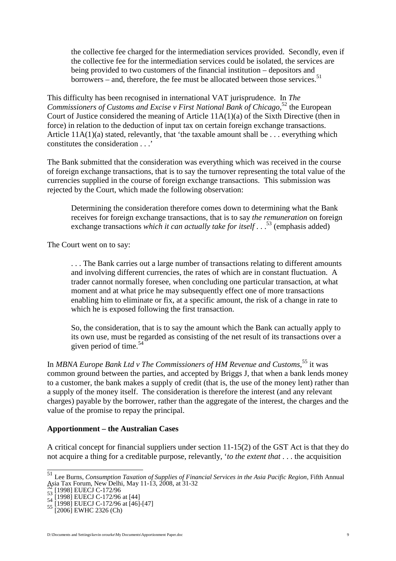the collective fee charged for the intermediation services provided. Secondly, even if the collective fee for the intermediation services could be isolated, the services are being provided to two customers of the financial institution – depositors and borrowers – and, therefore, the fee must be allocated between those services.<sup>[51](#page-8-0)</sup>

This difficulty has been recognised in international VAT jurisprudence. In *The* Commissioners of Customs and Excise v First National Bank of Chicago,<sup>[52](#page-8-1)</sup> the European Court of Justice considered the meaning of Article 11A(1)(a) of the Sixth Directive (then in force) in relation to the deduction of input tax on certain foreign exchange transactions. Article  $11A(1)(a)$  stated, relevantly, that 'the taxable amount shall be ... everything which constitutes the consideration . . .'

The Bank submitted that the consideration was everything which was received in the course of foreign exchange transactions, that is to say the turnover representing the total value of the currencies supplied in the course of foreign exchange transactions. This submission was rejected by the Court, which made the following observation:

Determining the consideration therefore comes down to determining what the Bank receives for foreign exchange transactions, that is to say *the remuneration* on foreign exchangetransactions *which it can actually take for itself* [.](#page-8-2) . .<sup>53</sup> (emphasis added)

The Court went on to say:

. . . The Bank carries out a large number of transactions relating to different amounts and involving different currencies, the rates of which are in constant fluctuation. A trader cannot normally foresee, when concluding one particular transaction, at what moment and at what price he may subsequently effect one of more transactions enabling him to eliminate or fix, at a specific amount, the risk of a change in rate to which he is exposed following the first transaction.

So, the consideration, that is to say the amount which the Bank can actually apply to its own use, must be regarded as consisting of the net result of its transactions over a givenperiod of time. $54$ 

In *MBNA Europe Bank Ltd v The Commissioners of HM Revenue and Customs*, [55](#page-8-4) it was common ground between the parties, and accepted by Briggs J, that when a bank lends money to a customer, the bank makes a supply of credit (that is, the use of the money lent) rather than a supply of the money itself. The consideration is therefore the interest (and any relevant charges) payable by the borrower, rather than the aggregate of the interest, the charges and the value of the promise to repay the principal.

## **Apportionment – the Australian Cases**

A critical concept for financial suppliers under section 11-15(2) of the GST Act is that they do not acquire a thing for a creditable purpose, relevantly, '*to the extent that* . . . the acquisition

<span id="page-8-0"></span><sup>51</sup> Lee Burns, *Consumption Taxation of Supplies of Financial Services in the Asia Pacific Region*, Fifth Annual

<span id="page-8-2"></span>

<span id="page-8-3"></span>

<span id="page-8-1"></span>Assia Tax Forum, New Delhi, May 11-13<br>
52 [1998] EUECJ C-172/96<br>
53 [1998] EUECJ C-172/96 at [44]<br>
54 [1998] EUECJ C-172/96 at [46]-[47]<br>
55 [2006] EWHC 2326 (Ch)

<span id="page-8-4"></span>

D:\Documents and Settings\kevin orourke\My Documents\Apportionment Paper.doc 9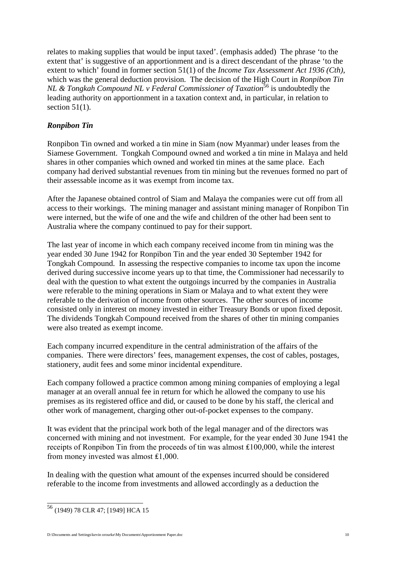relates to making supplies that would be input taxed'. (emphasis added) The phrase 'to the extent that' is suggestive of an apportionment and is a direct descendant of the phrase 'to the extent to which' found in former section 51(1) of the *Income Tax Assessment Act 1936 (Cth)*, which was the general deduction provision. The decision of the High Court in *Ronpibon Tin NL & Tongkah Compound NL v Federal Commissioner of Taxation*<sup>[56](#page-9-0)</sup> is undoubtedly the leading authority on apportionment in a taxation context and, in particular, in relation to section  $51(1)$ .

# *Ronpibon Tin*

Ronpibon Tin owned and worked a tin mine in Siam (now Myanmar) under leases from the Siamese Government. Tongkah Compound owned and worked a tin mine in Malaya and held shares in other companies which owned and worked tin mines at the same place. Each company had derived substantial revenues from tin mining but the revenues formed no part of their assessable income as it was exempt from income tax.

After the Japanese obtained control of Siam and Malaya the companies were cut off from all access to their workings. The mining manager and assistant mining manager of Ronpibon Tin were interned, but the wife of one and the wife and children of the other had been sent to Australia where the company continued to pay for their support.

The last year of income in which each company received income from tin mining was the year ended 30 June 1942 for Ronpibon Tin and the year ended 30 September 1942 for Tongkah Compound. In assessing the respective companies to income tax upon the income derived during successive income years up to that time, the Commissioner had necessarily to deal with the question to what extent the outgoings incurred by the companies in Australia were referable to the mining operations in Siam or Malaya and to what extent they were referable to the derivation of income from other sources. The other sources of income consisted only in interest on money invested in either Treasury Bonds or upon fixed deposit. The dividends Tongkah Compound received from the shares of other tin mining companies were also treated as exempt income.

Each company incurred expenditure in the central administration of the affairs of the companies. There were directors' fees, management expenses, the cost of cables, postages, stationery, audit fees and some minor incidental expenditure.

Each company followed a practice common among mining companies of employing a legal manager at an overall annual fee in return for which he allowed the company to use his premises as its registered office and did, or caused to be done by his staff, the clerical and other work of management, charging other out-of-pocket expenses to the company.

It was evident that the principal work both of the legal manager and of the directors was concerned with mining and not investment. For example, for the year ended 30 June 1941 the receipts of Ronpibon Tin from the proceeds of tin was almost ₤100,000, while the interest from money invested was almost ₤1,000.

In dealing with the question what amount of the expenses incurred should be considered referable to the income from investments and allowed accordingly as a deduction the

<span id="page-9-0"></span><sup>56</sup> (1949) 78 CLR 47; [1949] HCA 15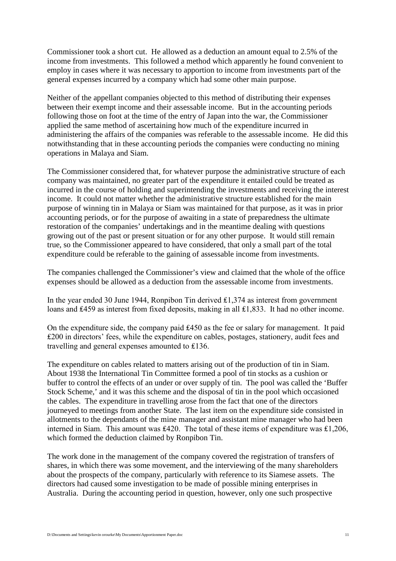Commissioner took a short cut. He allowed as a deduction an amount equal to 2.5% of the income from investments. This followed a method which apparently he found convenient to employ in cases where it was necessary to apportion to income from investments part of the general expenses incurred by a company which had some other main purpose.

Neither of the appellant companies objected to this method of distributing their expenses between their exempt income and their assessable income. But in the accounting periods following those on foot at the time of the entry of Japan into the war, the Commissioner applied the same method of ascertaining how much of the expenditure incurred in administering the affairs of the companies was referable to the assessable income. He did this notwithstanding that in these accounting periods the companies were conducting no mining operations in Malaya and Siam.

The Commissioner considered that, for whatever purpose the administrative structure of each company was maintained, no greater part of the expenditure it entailed could be treated as incurred in the course of holding and superintending the investments and receiving the interest income. It could not matter whether the administrative structure established for the main purpose of winning tin in Malaya or Siam was maintained for that purpose, as it was in prior accounting periods, or for the purpose of awaiting in a state of preparedness the ultimate restoration of the companies' undertakings and in the meantime dealing with questions growing out of the past or present situation or for any other purpose. It would still remain true, so the Commissioner appeared to have considered, that only a small part of the total expenditure could be referable to the gaining of assessable income from investments.

The companies challenged the Commissioner's view and claimed that the whole of the office expenses should be allowed as a deduction from the assessable income from investments.

In the year ended 30 June 1944, Ronpibon Tin derived ₤1,374 as interest from government loans and £459 as interest from fixed deposits, making in all £1,833. It had no other income.

On the expenditure side, the company paid ₤450 as the fee or salary for management. It paid ₤200 in directors' fees, while the expenditure on cables, postages, stationery, audit fees and travelling and general expenses amounted to ₤136.

The expenditure on cables related to matters arising out of the production of tin in Siam. About 1938 the International Tin Committee formed a pool of tin stocks as a cushion or buffer to control the effects of an under or over supply of tin. The pool was called the 'Buffer Stock Scheme,' and it was this scheme and the disposal of tin in the pool which occasioned the cables. The expenditure in travelling arose from the fact that one of the directors journeyed to meetings from another State. The last item on the expenditure side consisted in allotments to the dependants of the mine manager and assistant mine manager who had been interned in Siam. This amount was ₤420. The total of these items of expenditure was ₤1,206, which formed the deduction claimed by Ronpibon Tin.

The work done in the management of the company covered the registration of transfers of shares, in which there was some movement, and the interviewing of the many shareholders about the prospects of the company, particularly with reference to its Siamese assets. The directors had caused some investigation to be made of possible mining enterprises in Australia. During the accounting period in question, however, only one such prospective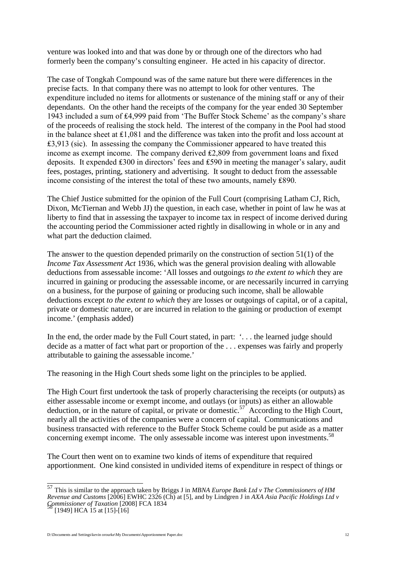venture was looked into and that was done by or through one of the directors who had formerly been the company's consulting engineer. He acted in his capacity of director.

The case of Tongkah Compound was of the same nature but there were differences in the precise facts. In that company there was no attempt to look for other ventures. The expenditure included no items for allotments or sustenance of the mining staff or any of their dependants. On the other hand the receipts of the company for the year ended 30 September 1943 included a sum of ₤4,999 paid from 'The Buffer Stock Scheme' as the company's share of the proceeds of realising the stock held. The interest of the company in the Pool had stood in the balance sheet at ₤1,081 and the difference was taken into the profit and loss account at  $\text{\pounds}3.913$  (sic). In assessing the company the Commissioner appeared to have treated this income as exempt income. The company derived ₤2,809 from government loans and fixed deposits. It expended ₤300 in directors' fees and ₤590 in meeting the manager's salary, audit fees, postages, printing, stationery and advertising. It sought to deduct from the assessable income consisting of the interest the total of these two amounts, namely ₤890.

The Chief Justice submitted for the opinion of the Full Court (comprising Latham CJ, Rich, Dixon, McTiernan and Webb JJ) the question, in each case, whether in point of law he was at liberty to find that in assessing the taxpayer to income tax in respect of income derived during the accounting period the Commissioner acted rightly in disallowing in whole or in any and what part the deduction claimed.

The answer to the question depended primarily on the construction of section 51(1) of the *Income Tax Assessment Act* 1936, which was the general provision dealing with allowable deductions from assessable income: 'All losses and outgoings *to the extent to which* they are incurred in gaining or producing the assessable income, or are necessarily incurred in carrying on a business, for the purpose of gaining or producing such income, shall be allowable deductions except *to the extent to which* they are losses or outgoings of capital, or of a capital, private or domestic nature, or are incurred in relation to the gaining or production of exempt income.' (emphasis added)

In the end, the order made by the Full Court stated, in part: '... the learned judge should decide as a matter of fact what part or proportion of the . . . expenses was fairly and properly attributable to gaining the assessable income.'

The reasoning in the High Court sheds some light on the principles to be applied.

The High Court first undertook the task of properly characterising the receipts (or outputs) as either assessable income or exempt income, and outlays (or inputs) as either an allowable deduction, or in the nature of capital, or private or domestic.<sup>[57](#page-11-0)</sup> According to the High Court, nearly all the activities of the companies were a concern of capital. Communications and business transacted with reference to the Buffer Stock Scheme could be put aside as a matter concerning exempt income. The only assessable income was interest upon investments.<sup>[58](#page-11-1)</sup>

The Court then went on to examine two kinds of items of expenditure that required apportionment. One kind consisted in undivided items of expenditure in respect of things or

<span id="page-11-0"></span><sup>57</sup> This is similar to the approach taken by Briggs J in *MBNA Europe Bank Ltd v The Commissioners of HM Revenue and Customs* [2006] EWHC 2326 (Ch) at [5], and by Lindgren J in *AXA Asia Pacific Holdings Ltd v Commissioner of Taxation* [2008] FCA 1834<br><sup>58</sup> [1949] HCA 15 at [15]-[16]

<span id="page-11-1"></span>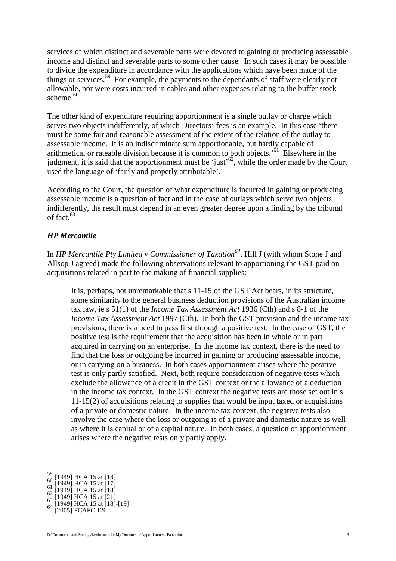services of which distinct and severable parts were devoted to gaining or producing assessable income and distinct and severable parts to some other cause. In such cases it may be possible to divide the expenditure in accordance with the applications which have been made of the things or services.<sup>[59](#page-12-0)</sup> For example, the payments to the dependants of staff were clearly not allowable, nor were costs incurred in cables and other expenses relating to the buffer stock scheme. $60$ 

The other kind of expenditure requiring apportionment is a single outlay or charge which serves two objects indifferently, of which Directors' fees is an example. In this case 'there must be some fair and reasonable assessment of the extent of the relation of the outlay to assessable income. It is an indiscriminate sum apportionable, but hardly capable of arithmetical or rateable division because it is common to both objects.<sup> $61$ </sup> Elsewhere in the judgment, it is said that the apportionment must be 'just'<sup>[62](#page-12-3)</sup>, while the order made by the Court used the language of 'fairly and properly attributable'.

According to the Court, the question of what expenditure is incurred in gaining or producing assessable income is a question of fact and in the case of outlays which serve two objects indifferently, the result must depend in an even greater degree upon a finding by the tribunal of fact<sup>[63](#page-12-4)</sup>

## *HP Mercantile*

In *HP Mercantile Pty Limited v Commissioner of Taxation[64](#page-12-5)*, Hill J (with whom Stone J and Allsop J agreed) made the following observations relevant to apportioning the GST paid on acquisitions related in part to the making of financial supplies:

It is, perhaps, not unremarkable that s 11-15 of the GST Act bears, in its structure, some similarity to the general business deduction provisions of the Australian income tax law, ie s 51(1) of the *Income Tax Assessment Act* 1936 (Cth) and s 8-1 of the *Income Tax Assessment Act* 1997 (Cth). In both the GST provision and the income tax provisions, there is a need to pass first through a positive test. In the case of GST, the positive test is the requirement that the acquisition has been in whole or in part acquired in carrying on an enterprise. In the income tax context, there is the need to find that the loss or outgoing be incurred in gaining or producing assessable income, or in carrying on a business. In both cases apportionment arises where the positive test is only partly satisfied. Next, both require consideration of negative tests which exclude the allowance of a credit in the GST context or the allowance of a deduction in the income tax context. In the GST context the negative tests are those set out in s 11-15(2) of acquisitions relating to supplies that would be input taxed or acquisitions of a private or domestic nature. In the income tax context, the negative tests also involve the case where the loss or outgoing is of a private and domestic nature as well as where it is capital or of a capital nature. In both cases, a question of apportionment arises where the negative tests only partly apply.

<span id="page-12-1"></span><span id="page-12-0"></span>

<span id="page-12-2"></span>

<span id="page-12-3"></span>

<span id="page-12-5"></span><span id="page-12-4"></span>

<sup>59 [1949]</sup> HCA 15 at [18]<br>60 [1949] HCA 15 at [17]<br>61 [1949] HCA 15 at [18]<br>62 [1949] HCA 15 at [21]<br>63 [1949] HCA 15 at [18]-[19]<br>64 [2005] FCAFC 126

D:\Documents and Settings\kevin orourke\My Documents\Apportionment Paper.doc 13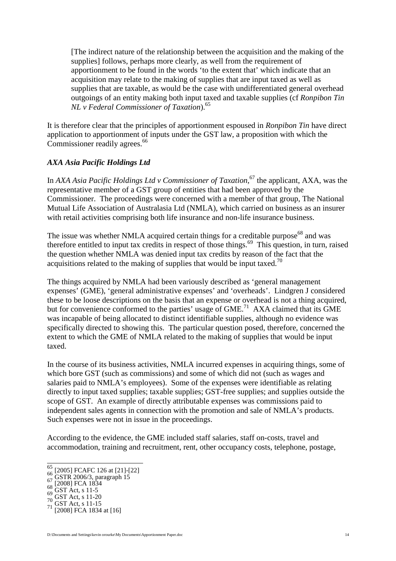[The indirect nature of the relationship between the acquisition and the making of the supplies] follows, perhaps more clearly, as well from the requirement of apportionment to be found in the words 'to the extent that' which indicate that an acquisition may relate to the making of supplies that are input taxed as well as supplies that are taxable, as would be the case with undifferentiated general overhead outgoings of an entity making both input taxed and taxable supplies (cf *Ronpibon Tin NL v Federal Commissioner of Taxation*).[65](#page-13-0)

It is therefore clear that the principles of apportionment espoused in *Ronpibon Tin* have direct application to apportionment of inputs under the GST law, a proposition with which the Commissioner readily agrees.<sup>[66](#page-13-1)</sup>

## *AXA Asia Pacific Holdings Ltd*

In *AXA Asia Pacific Holdings Ltd v Commissioner of Taxation*, [67](#page-13-2) the applicant, AXA, was the representative member of a GST group of entities that had been approved by the Commissioner. The proceedings were concerned with a member of that group, The National Mutual Life Association of Australasia Ltd (NMLA), which carried on business as an insurer with retail activities comprising both life insurance and non-life insurance business.

The issue was whether NMLA acquired certain things for a creditable purpose<sup>[68](#page-13-3)</sup> and was therefore entitled to input tax credits in respect of those things.<sup>[69](#page-13-4)</sup> This question, in turn, raised the question whether NMLA was denied input tax credits by reason of the fact that the acquisitions related to the making of supplies that would be input taxed.<sup>[70](#page-13-5)</sup>

The things acquired by NMLA had been variously described as 'general management expenses' (GME), 'general administrative expenses' and 'overheads'. Lindgren J considered these to be loose descriptions on the basis that an expense or overhead is not a thing acquired, but for convenience conformed to the parties' usage of GME.<sup>[71](#page-13-6)</sup> AXA claimed that its GME was incapable of being allocated to distinct identifiable supplies, although no evidence was specifically directed to showing this. The particular question posed, therefore, concerned the extent to which the GME of NMLA related to the making of supplies that would be input taxed.

In the course of its business activities, NMLA incurred expenses in acquiring things, some of which bore GST (such as commissions) and some of which did not (such as wages and salaries paid to NMLA's employees). Some of the expenses were identifiable as relating directly to input taxed supplies; taxable supplies; GST-free supplies; and supplies outside the scope of GST. An example of directly attributable expenses was commissions paid to independent sales agents in connection with the promotion and sale of NMLA's products. Such expenses were not in issue in the proceedings.

According to the evidence, the GME included staff salaries, staff on-costs, travel and accommodation, training and recruitment, rent, other occupancy costs, telephone, postage,

<span id="page-13-0"></span><sup>65 [2005]</sup> FCAFC 126 at [21]-[22]<br>66 GSTR 2006/3, paragraph 15<br>68 [2008] FCA 1834<br>68 GST Act, s 11-5<br>69 GST Act, s 11-20<br>70 GST Act, s 11-15<br>71 [2008] FCA 1834 at [16]

<span id="page-13-2"></span><span id="page-13-1"></span>

<span id="page-13-3"></span>

<span id="page-13-4"></span>

<span id="page-13-5"></span>

<span id="page-13-6"></span>

D:\Documents and Settings\kevin orourke\My Documents\Apportionment Paper.doc 14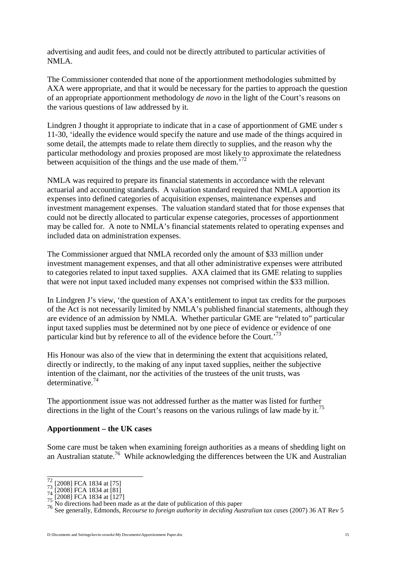advertising and audit fees, and could not be directly attributed to particular activities of NMLA.

The Commissioner contended that none of the apportionment methodologies submitted by AXA were appropriate, and that it would be necessary for the parties to approach the question of an appropriate apportionment methodology *de novo* in the light of the Court's reasons on the various questions of law addressed by it.

Lindgren J thought it appropriate to indicate that in a case of apportionment of GME under s 11-30, 'ideally the evidence would specify the nature and use made of the things acquired in some detail, the attempts made to relate them directly to supplies, and the reason why the particular methodology and proxies proposed are most likely to approximate the relatedness between acquisition of the things and the use made of them.<sup>[72](#page-14-0)</sup>

NMLA was required to prepare its financial statements in accordance with the relevant actuarial and accounting standards. A valuation standard required that NMLA apportion its expenses into defined categories of acquisition expenses, maintenance expenses and investment management expenses. The valuation standard stated that for those expenses that could not be directly allocated to particular expense categories, processes of apportionment may be called for. A note to NMLA's financial statements related to operating expenses and included data on administration expenses.

The Commissioner argued that NMLA recorded only the amount of \$33 million under investment management expenses, and that all other administrative expenses were attributed to categories related to input taxed supplies. AXA claimed that its GME relating to supplies that were not input taxed included many expenses not comprised within the \$33 million.

In Lindgren J's view, 'the question of AXA's entitlement to input tax credits for the purposes of the Act is not necessarily limited by NMLA's published financial statements, although they are evidence of an admission by NMLA. Whether particular GME are "related to" particular input taxed supplies must be determined not by one piece of evidence or evidence of one particular kind but by reference to all of the evidence before the Court.<sup>[73](#page-14-1)</sup>

His Honour was also of the view that in determining the extent that acquisitions related, directly or indirectly, to the making of any input taxed supplies, neither the subjective intention of the claimant, nor the activities of the trustees of the unit trusts, was determinative.[74](#page-14-2)

The apportionment issue was not addressed further as the matter was listed for further directionsin the light of the Court's reasons on the various rulings of law made by it.<sup>75</sup>

#### **Apportionment – the UK cases**

Some care must be taken when examining foreign authorities as a means of shedding light on an Australian statute.[76](#page-14-4) While acknowledging the differences between the UK and Australian

<span id="page-14-0"></span>

<span id="page-14-1"></span>

<span id="page-14-2"></span>

<span id="page-14-4"></span><span id="page-14-3"></span>

 $\frac{72}{73}$  [2008] FCA 1834 at [75]<br>
74 [2008] FCA 1834 at [81]<br>
74 [2008] FCA 1834 at [127]<br>
75 [2008] FCA 1834 at [127]<br>
76 No directions had been made as at the date of publication of this paper<br>
8 See generally, Edmon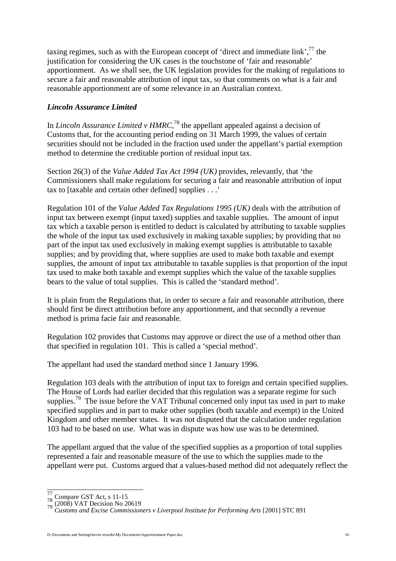taxing regimes, such as with [the](#page-15-0) European concept of 'direct and immediate link',  $\frac{77}{1}$  $\frac{77}{1}$  $\frac{77}{1}$  the justification for considering the UK cases is the touchstone of 'fair and reasonable' apportionment. As we shall see, the UK legislation provides for the making of regulations to secure a fair and reasonable attribution of input tax, so that comments on what is a fair and reasonable apportionment are of some relevance in an Australian context.

### *Lincoln Assurance Limited*

In *Lincoln Assurance Limited v HMRC*,<sup>[78](#page-15-1)</sup> the appellant appealed against a decision of Customs that, for the accounting period ending on 31 March 1999, the values of certain securities should not be included in the fraction used under the appellant's partial exemption method to determine the creditable portion of residual input tax.

Section 26(3) of the *Value Added Tax Act 1994 (UK)* provides, relevantly, that 'the Commissioners shall make regulations for securing a fair and reasonable attribution of input tax to [taxable and certain other defined] supplies . . .'

Regulation 101 of the *Value Added Tax Regulations 1995 (UK)* deals with the attribution of input tax between exempt (input taxed) supplies and taxable supplies. The amount of input tax which a taxable person is entitled to deduct is calculated by attributing to taxable supplies the whole of the input tax used exclusively in making taxable supplies; by providing that no part of the input tax used exclusively in making exempt supplies is attributable to taxable supplies; and by providing that, where supplies are used to make both taxable and exempt supplies, the amount of input tax attributable to taxable supplies is that proportion of the input tax used to make both taxable and exempt supplies which the value of the taxable supplies bears to the value of total supplies. This is called the 'standard method'.

It is plain from the Regulations that, in order to secure a fair and reasonable attribution, there should first be direct attribution before any apportionment, and that secondly a revenue method is prima facie fair and reasonable.

Regulation 102 provides that Customs may approve or direct the use of a method other than that specified in regulation 101. This is called a 'special method'.

The appellant had used the standard method since 1 January 1996.

Regulation 103 deals with the attribution of input tax to foreign and certain specified supplies. The House of Lords had earlier decided that this regulation was a separate regime for such supplies.<sup>[79](#page-15-2)</sup> The issue before the VAT Tribunal concerned only input tax used in part to make specified supplies and in part to make other supplies (both taxable and exempt) in the United Kingdom and other member states. It was not disputed that the calculation under regulation 103 had to be based on use. What was in dispute was how use was to be determined.

The appellant argued that the value of the specified supplies as a proportion of total supplies represented a fair and reasonable measure of the use to which the supplies made to the appellant were put. Customs argued that a values-based method did not adequately reflect the

<span id="page-15-0"></span>

<span id="page-15-2"></span><span id="page-15-1"></span>

<sup>77</sup> Compare GST Act, s 11-15 <sup>78</sup> (2008) VAT Decision No 20619 <sup>79</sup> *Customs and Excise Commissioners v Liverpool Institute for Performing Arts* [2001] STC 891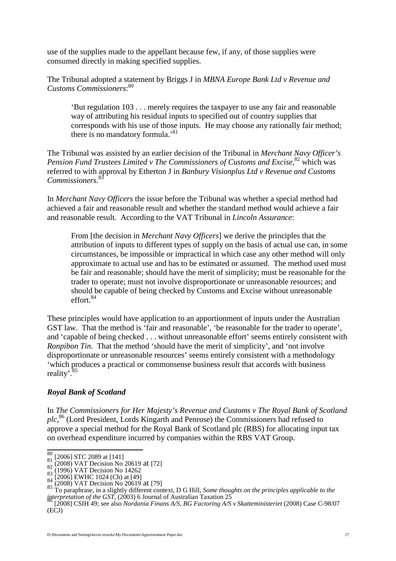use of the supplies made to the appellant because few, if any, of those supplies were consumed directly in making specified supplies.

The Tribunal adopted a statement by Briggs J in *MBNA Europe Bank Ltd v Revenue and Customs Commissioners*: [80](#page-16-0)

'But regulation 103 . . . merely requires the taxpayer to use any fair and reasonable way of attributing his residual inputs to specified out of country supplies that corresponds with his use of those inputs. He may choose any rationally fair method; there is no mandatory formula.<sup>[81](#page-16-1)</sup>

The Tribunal was assisted by an earlier decision of the Tribunal in *Merchant Navy Officer's Pension Fund Trustees Limited v The Commissioners of Customs and Excise*,<sup>[82](#page-16-2)</sup> which was referred to with approval by Etherton J in *Banbury Visionplus Ltd v Revenue and Customs Commissioners.*[83](#page-16-3)

In *Merchant Navy Officers* the issue before the Tribunal was whether a special method had achieved a fair and reasonable result and whether the standard method would achieve a fair and reasonable result. According to the VAT Tribunal in *Lincoln Assurance*:

From [the decision in *Merchant Navy Officers*] we derive the principles that the attribution of inputs to different types of supply on the basis of actual use can, in some circumstances, be impossible or impractical in which case any other method will only approximate to actual use and has to be estimated or assumed. The method used must be fair and reasonable; should have the merit of simplicity; must be reasonable for the trader to operate; must not involve disproportionate or unreasonable resources; and should be capable of being checked by Customs and Excise without unreasonable effort. $84$ 

These principles would have application to an apportionment of inputs under the Australian GST law. That the method is 'fair and reasonable', 'be reasonable for the trader to operate', and 'capable of being checked . . . without unreasonable effort' seems entirely consistent with *Ronpibon Tin.* That the method 'should have the merit of simplicity', and 'not involve disproportionate or unreasonable resources' seems entirely consistent with a methodology 'which produces a practical or commonsense business result that accords with business reality'.<sup>[85](#page-16-5)</sup>

#### *Royal Bank of Scotland*

In *The Commissioners for Her Majesty's Revenue and Customs v The Royal Bank of Scotland plc*, [86](#page-16-6) (Lord President, Lords Kingarth and Penrose) the Commissioners had refused to approve a special method for the Royal Bank of Scotland plc (RBS) for allocating input tax on overhead expenditure incurred by companies within the RBS VAT Group.

<span id="page-16-1"></span><span id="page-16-0"></span>

<span id="page-16-2"></span>

<span id="page-16-3"></span>

<span id="page-16-4"></span>

<span id="page-16-5"></span>

<sup>&</sup>lt;sup>80</sup> [2006] STC 2089 at [141]<br>
<sup>81</sup> (2008) VAT Decision No 20619 at [72]<br>
<sup>82</sup> (1996) VAT Decision No 14262<br>
<sup>83</sup> (2006) EWHC 1024 (Ch) at [49]<br>
<sup>84</sup> (2008) VAT Decision No 20619 at [79]<br>
<sup>85</sup> To paraphrase, in a slightly *interpretation of the GST*, (2003) 6 Journal of Australian Taxation 25 <sup>86</sup> [2008] CSIH 49; see also *Nordania Finans A/S, BG Factoring A/S v Skatteministeriet* (2008) Case C-98/07

<span id="page-16-6"></span><sup>(</sup>ECJ)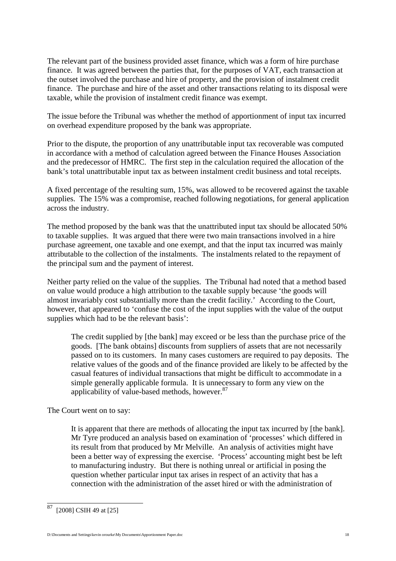The relevant part of the business provided asset finance, which was a form of hire purchase finance. It was agreed between the parties that, for the purposes of VAT, each transaction at the outset involved the purchase and hire of property, and the provision of instalment credit finance. The purchase and hire of the asset and other transactions relating to its disposal were taxable, while the provision of instalment credit finance was exempt.

The issue before the Tribunal was whether the method of apportionment of input tax incurred on overhead expenditure proposed by the bank was appropriate.

Prior to the dispute, the proportion of any unattributable input tax recoverable was computed in accordance with a method of calculation agreed between the Finance Houses Association and the predecessor of HMRC. The first step in the calculation required the allocation of the bank's total unattributable input tax as between instalment credit business and total receipts.

A fixed percentage of the resulting sum, 15%, was allowed to be recovered against the taxable supplies. The 15% was a compromise, reached following negotiations, for general application across the industry.

The method proposed by the bank was that the unattributed input tax should be allocated 50% to taxable supplies. It was argued that there were two main transactions involved in a hire purchase agreement, one taxable and one exempt, and that the input tax incurred was mainly attributable to the collection of the instalments. The instalments related to the repayment of the principal sum and the payment of interest.

Neither party relied on the value of the supplies. The Tribunal had noted that a method based on value would produce a high attribution to the taxable supply because 'the goods will almost invariably cost substantially more than the credit facility.' According to the Court, however, that appeared to 'confuse the cost of the input supplies with the value of the output supplies which had to be the relevant basis':

The credit supplied by [the bank] may exceed or be less than the purchase price of the goods. [The bank obtains] discounts from suppliers of assets that are not necessarily passed on to its customers. In many cases customers are required to pay deposits. The relative values of the goods and of the finance provided are likely to be affected by the casual features of individual transactions that might be difficult to accommodate in a simple generally applicable formula. It is unnecessary to form any view on the applicability of value-based methods, however.<sup>[87](#page-17-0)</sup>

The Court went on to say:

It is apparent that there are methods of allocating the input tax incurred by [the bank]. Mr Tyre produced an analysis based on examination of 'processes' which differed in its result from that produced by Mr Melville. An analysis of activities might have been a better way of expressing the exercise. 'Process' accounting might best be left to manufacturing industry. But there is nothing unreal or artificial in posing the question whether particular input tax arises in respect of an activity that has a connection with the administration of the asset hired or with the administration of

<span id="page-17-0"></span> $87$  [2008] CSIH 49 at [25]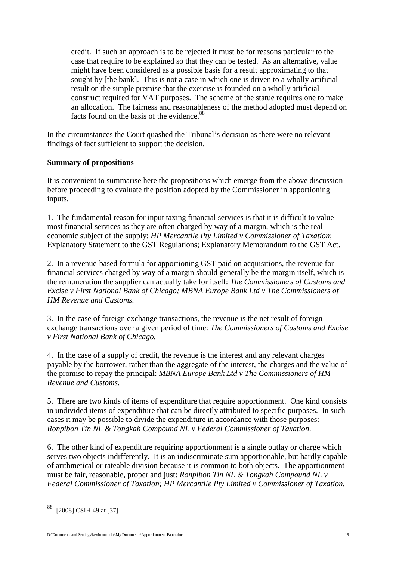credit. If such an approach is to be rejected it must be for reasons particular to the case that require to be explained so that they can be tested. As an alternative, value might have been considered as a possible basis for a result approximating to that sought by [the bank]. This is not a case in which one is driven to a wholly artificial result on the simple premise that the exercise is founded on a wholly artificial construct required for VAT purposes. The scheme of the statue requires one to make an allocation. The fairness and reasonableness of the method adopted must depend on facts found on the basis of the evidence.<sup>[88](#page-18-0)</sup>

In the circumstances the Court quashed the Tribunal's decision as there were no relevant findings of fact sufficient to support the decision.

# **Summary of propositions**

It is convenient to summarise here the propositions which emerge from the above discussion before proceeding to evaluate the position adopted by the Commissioner in apportioning inputs.

1. The fundamental reason for input taxing financial services is that it is difficult to value most financial services as they are often charged by way of a margin, which is the real economic subject of the supply: *HP Mercantile Pty Limited v Commissioner of Taxation*; Explanatory Statement to the GST Regulations; Explanatory Memorandum to the GST Act.

2. In a revenue-based formula for apportioning GST paid on acquisitions, the revenue for financial services charged by way of a margin should generally be the margin itself, which is the remuneration the supplier can actually take for itself: *The Commissioners of Customs and Excise v First National Bank of Chicago; MBNA Europe Bank Ltd v The Commissioners of HM Revenue and Customs.*

3. In the case of foreign exchange transactions, the revenue is the net result of foreign exchange transactions over a given period of time: *The Commissioners of Customs and Excise v First National Bank of Chicago.*

4. In the case of a supply of credit, the revenue is the interest and any relevant charges payable by the borrower, rather than the aggregate of the interest, the charges and the value of the promise to repay the principal: *MBNA Europe Bank Ltd v The Commissioners of HM Revenue and Customs.*

5. There are two kinds of items of expenditure that require apportionment. One kind consists in undivided items of expenditure that can be directly attributed to specific purposes. In such cases it may be possible to divide the expenditure in accordance with those purposes: *Ronpibon Tin NL & Tongkah Compound NL v Federal Commissioner of Taxation*.

6. The other kind of expenditure requiring apportionment is a single outlay or charge which serves two objects indifferently. It is an indiscriminate sum apportionable, but hardly capable of arithmetical or rateable division because it is common to both objects. The apportionment must be fair, reasonable, proper and just: *Ronpibon Tin NL & Tongkah Compound NL v Federal Commissioner of Taxation; HP Mercantile Pty Limited v Commissioner of Taxation.*

<span id="page-18-0"></span><sup>88</sup> [2008] CSIH 49 at [37]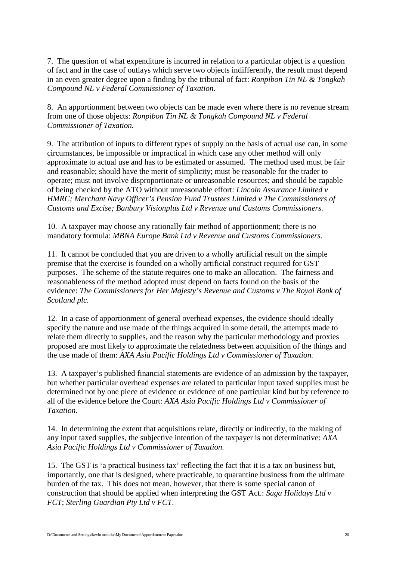7. The question of what expenditure is incurred in relation to a particular object is a question of fact and in the case of outlays which serve two objects indifferently, the result must depend in an even greater degree upon a finding by the tribunal of fact: *Ronpibon Tin NL & Tongkah Compound NL v Federal Commissioner of Taxation.*

8. An apportionment between two objects can be made even where there is no revenue stream from one of those objects: *Ronpibon Tin NL & Tongkah Compound NL v Federal Commissioner of Taxation.*

9. The attribution of inputs to different types of supply on the basis of actual use can, in some circumstances, be impossible or impractical in which case any other method will only approximate to actual use and has to be estimated or assumed. The method used must be fair and reasonable; should have the merit of simplicity; must be reasonable for the trader to operate; must not involve disproportionate or unreasonable resources; and should be capable of being checked by the ATO without unreasonable effort: *Lincoln Assurance Limited v HMRC; Merchant Navy Officer's Pension Fund Trustees Limited v The Commissioners of Customs and Excise; Banbury Visionplus Ltd v Revenue and Customs Commissioners.*

10. A taxpayer may choose any rationally fair method of apportionment; there is no mandatory formula: *MBNA Europe Bank Ltd v Revenue and Customs Commissioners.*

11. It cannot be concluded that you are driven to a wholly artificial result on the simple premise that the exercise is founded on a wholly artificial construct required for GST purposes. The scheme of the statute requires one to make an allocation. The fairness and reasonableness of the method adopted must depend on facts found on the basis of the evidence: *The Commissioners for Her Majesty's Revenue and Customs v The Royal Bank of Scotland plc.*

12. In a case of apportionment of general overhead expenses, the evidence should ideally specify the nature and use made of the things acquired in some detail, the attempts made to relate them directly to supplies, and the reason why the particular methodology and proxies proposed are most likely to approximate the relatedness between acquisition of the things and the use made of them: *AXA Asia Pacific Holdings Ltd v Commissioner of Taxation.*

13. A taxpayer's published financial statements are evidence of an admission by the taxpayer, but whether particular overhead expenses are related to particular input taxed supplies must be determined not by one piece of evidence or evidence of one particular kind but by reference to all of the evidence before the Court: *AXA Asia Pacific Holdings Ltd v Commissioner of Taxation.*

14. In determining the extent that acquisitions relate, directly or indirectly, to the making of any input taxed supplies, the subjective intention of the taxpayer is not determinative: *AXA Asia Pacific Holdings Ltd v Commissioner of Taxation.*

15. The GST is 'a practical business tax' reflecting the fact that it is a tax on business but, importantly, one that is designed, where practicable, to quarantine business from the ultimate burden of the tax. This does not mean, however, that there is some special canon of construction that should be applied when interpreting the GST Act.: *Saga Holidays Ltd v FCT*; *Sterling Guardian Pty Ltd v FCT*.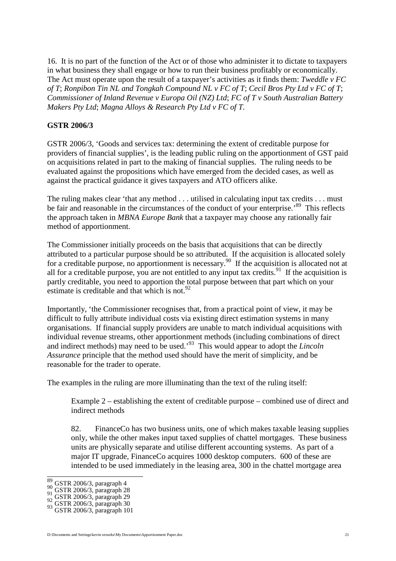16. It is no part of the function of the Act or of those who administer it to dictate to taxpayers in what business they shall engage or how to run their business profitably or economically. The Act must operate upon the result of a taxpayer's activities as it finds them: *Tweddle v FC of T*; *Ronpibon Tin NL and Tongkah Compound NL v FC of T*; *Cecil Bros Pty Ltd v FC of T*; *Commissioner of Inland Revenue v Europa Oil (NZ) Ltd*; *FC of T v South Australian Battery Makers Pty Ltd*; *Magna Alloys & Research Pty Ltd v FC of T.*

#### **GSTR 2006/3**

GSTR 2006/3, 'Goods and services tax: determining the extent of creditable purpose for providers of financial supplies', is the leading public ruling on the apportionment of GST paid on acquisitions related in part to the making of financial supplies. The ruling needs to be evaluated against the propositions which have emerged from the decided cases, as well as against the practical guidance it gives taxpayers and ATO officers alike.

The ruling makes clear 'that any method . . . utilised in calculating input tax credits . . . must be fair and reasonable in the circumstances of the conduct of your enterprise.'<sup>[89](#page-20-0)</sup> This reflects the approach taken in *MBNA Europe Bank* that a taxpayer may choose any rationally fair method of apportionment.

The Commissioner initially proceeds on the basis that acquisitions that can be directly attributed to a particular purpose should be so attributed. If the acquisition is allocated solely for a creditable purpose, no apportionment is necessary.<sup>[90](#page-20-1)</sup> If the acquisition is allocated not at all for a creditable purpose, you are not entitled to any input tax credits.<sup>[91](#page-20-2)</sup> If the acquisition is partly creditable, you need to apportion the total purpose between that part which on your estimateis creditable and that which is not. $92$ 

Importantly, 'the Commissioner recognises that, from a practical point of view, it may be difficult to fully attribute individual costs via existing direct estimation systems in many organisations. If financial supply providers are unable to match individual acquisitions with individual revenue streams, other apportionment methods (including combinations of direct and indirect methods) may need to be used.'[93](#page-20-4) This would appear to adopt the *Lincoln Assurance* principle that the method used should have the merit of simplicity, and be reasonable for the trader to operate.

The examples in the ruling are more illuminating than the text of the ruling itself:

Example 2 – establishing the extent of creditable purpose – combined use of direct and indirect methods

82. FinanceCo has two business units, one of which makes taxable leasing supplies only, while the other makes input taxed supplies of chattel mortgages. These business units are physically separate and utilise different accounting systems. As part of a major IT upgrade, FinanceCo acquires 1000 desktop computers. 600 of these are intended to be used immediately in the leasing area, 300 in the chattel mortgage area

<span id="page-20-0"></span>

<span id="page-20-2"></span><span id="page-20-1"></span>

<span id="page-20-3"></span>

<span id="page-20-4"></span>

 $\frac{89}{90}$  GSTR 2006/3, paragraph 4<br>
91 GSTR 2006/3, paragraph 28<br>
92 GSTR 2006/3, paragraph 29<br>
93 GSTR 2006/3, paragraph 101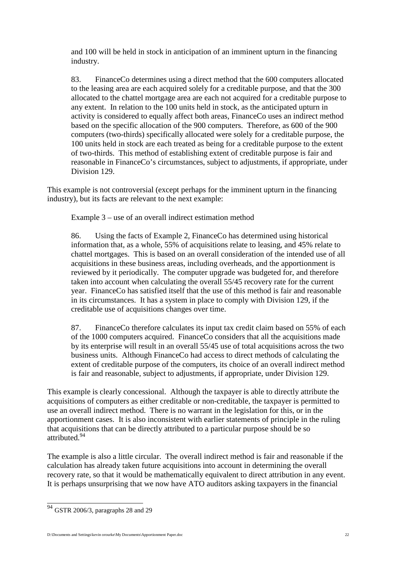and 100 will be held in stock in anticipation of an imminent upturn in the financing industry.

83. FinanceCo determines using a direct method that the 600 computers allocated to the leasing area are each acquired solely for a creditable purpose, and that the 300 allocated to the chattel mortgage area are each not acquired for a creditable purpose to any extent. In relation to the 100 units held in stock, as the anticipated upturn in activity is considered to equally affect both areas, FinanceCo uses an indirect method based on the specific allocation of the 900 computers. Therefore, as 600 of the 900 computers (two-thirds) specifically allocated were solely for a creditable purpose, the 100 units held in stock are each treated as being for a creditable purpose to the extent of two-thirds. This method of establishing extent of creditable purpose is fair and reasonable in FinanceCo's circumstances, subject to adjustments, if appropriate, under Division 129.

This example is not controversial (except perhaps for the imminent upturn in the financing industry), but its facts are relevant to the next example:

Example 3 – use of an overall indirect estimation method

86. Using the facts of Example 2, FinanceCo has determined using historical information that, as a whole, 55% of acquisitions relate to leasing, and 45% relate to chattel mortgages. This is based on an overall consideration of the intended use of all acquisitions in these business areas, including overheads, and the apportionment is reviewed by it periodically. The computer upgrade was budgeted for, and therefore taken into account when calculating the overall 55/45 recovery rate for the current year. FinanceCo has satisfied itself that the use of this method is fair and reasonable in its circumstances. It has a system in place to comply with Division 129, if the creditable use of acquisitions changes over time.

87. FinanceCo therefore calculates its input tax credit claim based on 55% of each of the 1000 computers acquired. FinanceCo considers that all the acquisitions made by its enterprise will result in an overall 55/45 use of total acquisitions across the two business units. Although FinanceCo had access to direct methods of calculating the extent of creditable purpose of the computers, its choice of an overall indirect method is fair and reasonable, subject to adjustments, if appropriate, under Division 129.

This example is clearly concessional. Although the taxpayer is able to directly attribute the acquisitions of computers as either creditable or non-creditable, the taxpayer is permitted to use an overall indirect method. There is no warrant in the legislation for this, or in the apportionment cases. It is also inconsistent with earlier statements of principle in the ruling that acquisitions that can be directly attributed to a particular purpose should be so attributed.<sup>[94](#page-21-0)</sup>

The example is also a little circular. The overall indirect method is fair and reasonable if the calculation has already taken future acquisitions into account in determining the overall recovery rate, so that it would be mathematically equivalent to direct attribution in any event. It is perhaps unsurprising that we now have ATO auditors asking taxpayers in the financial

<span id="page-21-0"></span><sup>94</sup> GSTR 2006/3, paragraphs 28 and 29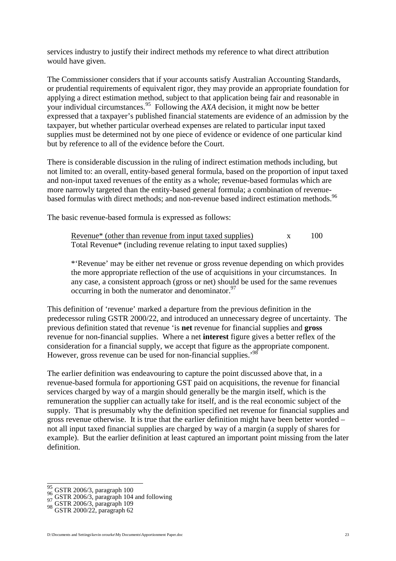services industry to justify their indirect methods my reference to what direct attribution would have given.

The Commissioner considers that if your accounts satisfy Australian Accounting Standards, or prudential requirements of equivalent rigor, they may provide an appropriate foundation for applying a direct estimation method, subject to that application being fair and reasonable in your individual circumstances.[95](#page-22-0) Following the *AXA* decision, it might now be better expressed that a taxpayer's published financial statements are evidence of an admission by the taxpayer, but whether particular overhead expenses are related to particular input taxed supplies must be determined not by one piece of evidence or evidence of one particular kind but by reference to all of the evidence before the Court.

There is considerable discussion in the ruling of indirect estimation methods including, but not limited to: an overall, entity-based general formula, based on the proportion of input taxed and non-input taxed revenues of the entity as a whole; revenue-based formulas which are more narrowly targeted than the entity-based general formula; a combination of revenue-based formulas with direct methods; and non-revenue based indirect estimation methods.<sup>[96](#page-22-1)</sup>

The basic revenue-based formula is expressed as follows:

Revenue $*$  (other than revenue from input taxed supplies)  $x = 100$ Total Revenue\* (including revenue relating to input taxed supplies)

\*'Revenue' may be either net revenue or gross revenue depending on which provides the more appropriate reflection of the use of acquisitions in your circumstances. In any case, a consistent approach (gross or net) should be used for the same revenues occurring in both the numerator and denominator. $97$ 

This definition of 'revenue' marked a departure from the previous definition in the predecessor ruling GSTR 2000/22, and introduced an unnecessary degree of uncertainty. The previous definition stated that revenue 'is **net** revenue for financial supplies and **gross** revenue for non-financial supplies. Where a net **interest** figure gives a better reflex of the consideration for a financial supply, we accept that figure as the appropriate component. However, gross revenue can be used for non-financial supplies.<sup>[98](#page-22-3)</sup>

The earlier definition was endeavouring to capture the point discussed above that, in a revenue-based formula for apportioning GST paid on acquisitions, the revenue for financial services charged by way of a margin should generally be the margin itself, which is the remuneration the supplier can actually take for itself, and is the real economic subject of the supply. That is presumably why the definition specified net revenue for financial supplies and gross revenue otherwise. It is true that the earlier definition might have been better worded – not all input taxed financial supplies are charged by way of a margin (a supply of shares for example). But the earlier definition at least captured an important point missing from the later definition.

<span id="page-22-1"></span><span id="page-22-0"></span>

 $^{95}_{96}$  GSTR 2006/3, paragraph 104 and following 97 GSTR 2006/3, paragraph 109 98 GSTR 2000/22, paragraph 62

<span id="page-22-3"></span><span id="page-22-2"></span>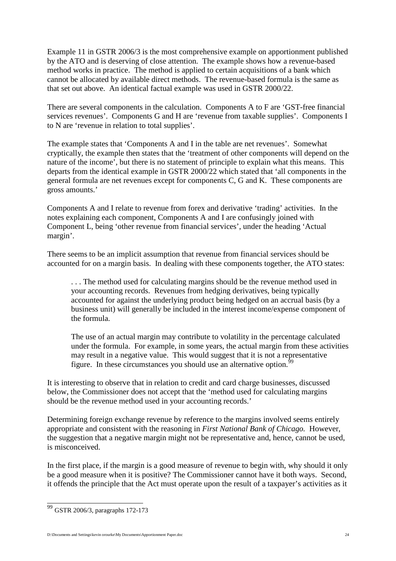Example 11 in GSTR 2006/3 is the most comprehensive example on apportionment published by the ATO and is deserving of close attention. The example shows how a revenue-based method works in practice. The method is applied to certain acquisitions of a bank which cannot be allocated by available direct methods. The revenue-based formula is the same as that set out above. An identical factual example was used in GSTR 2000/22.

There are several components in the calculation. Components A to F are 'GST-free financial services revenues'. Components G and H are 'revenue from taxable supplies'. Components I to N are 'revenue in relation to total supplies'.

The example states that 'Components A and I in the table are net revenues'. Somewhat cryptically, the example then states that the 'treatment of other components will depend on the nature of the income', but there is no statement of principle to explain what this means. This departs from the identical example in GSTR 2000/22 which stated that 'all components in the general formula are net revenues except for components C, G and K. These components are gross amounts.'

Components A and I relate to revenue from forex and derivative 'trading' activities. In the notes explaining each component, Components A and I are confusingly joined with Component L, being 'other revenue from financial services', under the heading 'Actual margin'.

There seems to be an implicit assumption that revenue from financial services should be accounted for on a margin basis. In dealing with these components together, the ATO states:

. . . The method used for calculating margins should be the revenue method used in your accounting records. Revenues from hedging derivatives, being typically accounted for against the underlying product being hedged on an accrual basis (by a business unit) will generally be included in the interest income/expense component of the formula.

The use of an actual margin may contribute to volatility in the percentage calculated under the formula. For example, in some years, the actual margin from these activities may result in a negative value. This would suggest that it is not a representative figure. In these circumstances you should use an alternative option.<sup>9</sup>

It is interesting to observe that in relation to credit and card charge businesses, discussed below, the Commissioner does not accept that the 'method used for calculating margins should be the revenue method used in your accounting records.'

Determining foreign exchange revenue by reference to the margins involved seems entirely appropriate and consistent with the reasoning in *First National Bank of Chicago.* However, the suggestion that a negative margin might not be representative and, hence, cannot be used, is misconceived.

In the first place, if the margin is a good measure of revenue to begin with, why should it only be a good measure when it is positive? The Commissioner cannot have it both ways. Second, it offends the principle that the Act must operate upon the result of a taxpayer's activities as it

<span id="page-23-0"></span><sup>99</sup> GSTR 2006/3, paragraphs 172-173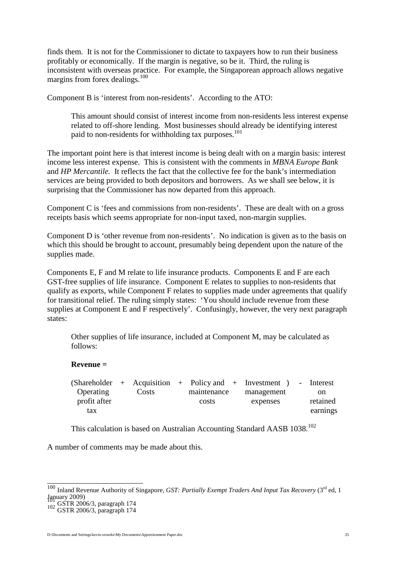finds them. It is not for the Commissioner to dictate to taxpayers how to run their business profitably or economically. If the margin is negative, so be it. Third, the ruling is inconsistent with overseas practice. For example, the Singaporean approach allows negative margins from forex dealings.<sup>[100](#page-24-0)</sup>

Component B is 'interest from non-residents'. According to the ATO:

This amount should consist of interest income from non-residents less interest expense related to off-shore lending. Most businesses should already be identifying interest paid to non-residents for withholding tax purposes.<sup>[101](#page-24-1)</sup>

The important point here is that interest income is being dealt with on a margin basis: interest income less interest expense. This is consistent with the comments in *MBNA Europe Bank* and *HP Mercantile.* It reflects the fact that the collective fee for the bank's intermediation services are being provided to both depositors and borrowers. As we shall see below, it is surprising that the Commissioner has now departed from this approach.

Component C is 'fees and commissions from non-residents'. These are dealt with on a gross receipts basis which seems appropriate for non-input taxed, non-margin supplies.

Component D is 'other revenue from non-residents'. No indication is given as to the basis on which this should be brought to account, presumably being dependent upon the nature of the supplies made.

Components E, F and M relate to life insurance products. Components E and F are each GST-free supplies of life insurance. Component E relates to supplies to non-residents that qualify as exports, while Component F relates to supplies made under agreements that qualify for transitional relief. The ruling simply states: 'You should include revenue from these supplies at Component E and F respectively'. Confusingly, however, the very next paragraph states:

Other supplies of life insurance, included at Component M, may be calculated as follows:

#### **Revenue =**

|              |       |             | $(Shareholder + Acquisition + Policy and + Investment)$ | - Interest |
|--------------|-------|-------------|---------------------------------------------------------|------------|
| Operating    | Costs | maintenance | management                                              | on         |
| profit after |       | costs       | expenses                                                | retained   |
| tax          |       |             |                                                         | earnings   |

This calculation is based on Australian Accounting Standard AASB 1038.<sup>[102](#page-24-2)</sup>

A number of comments may be made about this.

D:\Documents and Settings\kevin orourke\My Documents\Apportionment Paper.doc 25

<span id="page-24-0"></span><sup>100</sup> Inland Revenue Authority of Singapore, *GST: Partially Exempt Traders And Input Tax Recovery* (3<sup>rd</sup> ed, 1 January 2009) <sup>101</sup> GSTR 2006/3, paragraph 174 <sup>102</sup> GSTR 2006/3, paragraph 174

<span id="page-24-1"></span>

<span id="page-24-2"></span>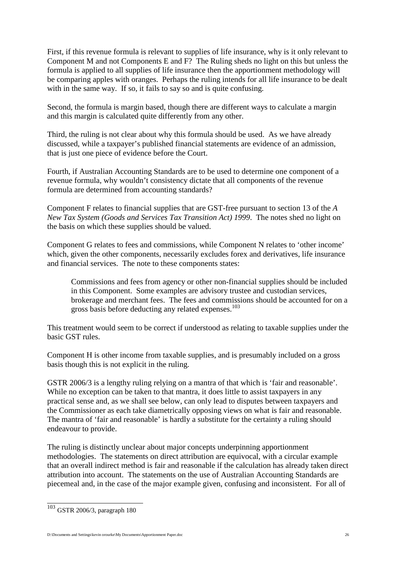First, if this revenue formula is relevant to supplies of life insurance, why is it only relevant to Component M and not Components E and F? The Ruling sheds no light on this but unless the formula is applied to all supplies of life insurance then the apportionment methodology will be comparing apples with oranges. Perhaps the ruling intends for all life insurance to be dealt with in the same way. If so, it fails to say so and is quite confusing.

Second, the formula is margin based, though there are different ways to calculate a margin and this margin is calculated quite differently from any other.

Third, the ruling is not clear about why this formula should be used. As we have already discussed, while a taxpayer's published financial statements are evidence of an admission, that is just one piece of evidence before the Court.

Fourth, if Australian Accounting Standards are to be used to determine one component of a revenue formula, why wouldn't consistency dictate that all components of the revenue formula are determined from accounting standards?

Component F relates to financial supplies that are GST-free pursuant to section 13 of the *A New Tax System (Goods and Services Tax Transition Act) 1999*. The notes shed no light on the basis on which these supplies should be valued.

Component G relates to fees and commissions, while Component N relates to 'other income' which, given the other components, necessarily excludes forex and derivatives, life insurance and financial services. The note to these components states:

Commissions and fees from agency or other non-financial supplies should be included in this Component. Some examples are advisory trustee and custodian services, brokerage and merchant fees. The fees and commissions should be accounted for on a gross basis before deducting any related expenses.<sup>[103](#page-25-0)</sup>

This treatment would seem to be correct if understood as relating to taxable supplies under the basic GST rules.

Component H is other income from taxable supplies, and is presumably included on a gross basis though this is not explicit in the ruling.

GSTR 2006/3 is a lengthy ruling relying on a mantra of that which is 'fair and reasonable'. While no exception can be taken to that mantra, it does little to assist taxpayers in any practical sense and, as we shall see below, can only lead to disputes between taxpayers and the Commissioner as each take diametrically opposing views on what is fair and reasonable. The mantra of 'fair and reasonable' is hardly a substitute for the certainty a ruling should endeavour to provide.

The ruling is distinctly unclear about major concepts underpinning apportionment methodologies. The statements on direct attribution are equivocal, with a circular example that an overall indirect method is fair and reasonable if the calculation has already taken direct attribution into account. The statements on the use of Australian Accounting Standards are piecemeal and, in the case of the major example given, confusing and inconsistent. For all of

<span id="page-25-0"></span><sup>103</sup> GSTR 2006/3, paragraph 180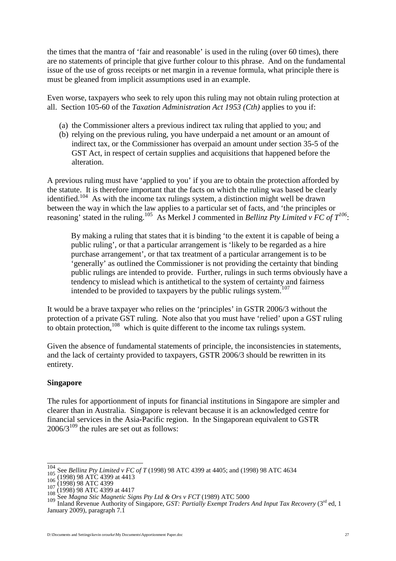the times that the mantra of 'fair and reasonable' is used in the ruling (over 60 times), there are no statements of principle that give further colour to this phrase. And on the fundamental issue of the use of gross receipts or net margin in a revenue formula, what principle there is must be gleaned from implicit assumptions used in an example.

Even worse, taxpayers who seek to rely upon this ruling may not obtain ruling protection at all. Section 105-60 of the *Taxation Administration Act 1953 (Cth)* applies to you if:

- (a) the Commissioner alters a previous indirect tax ruling that applied to you; and
- (b) relying on the previous ruling, you have underpaid a net amount or an amount of indirect tax, or the Commissioner has overpaid an amount under section 35-5 of the GST Act, in respect of certain supplies and acquisitions that happened before the alteration.

A previous ruling must have 'applied to you' if you are to obtain the protection afforded by the statute. It is therefore important that the facts on which the ruling was based be clearly identified.<sup>[104](#page-26-0)</sup> As with the income tax rulings system, a distinction might well be drawn between the way in which the law applies to a particular set of facts, and 'the principles or reasoning' stated in the ruling.<sup>[105](#page-26-1)</sup>As Merkel J commented in *Bellinz Pty Limited v FC of*  $T^{106}$ :

By making a ruling that states that it is binding 'to the extent it is capable of being a public ruling', or that a particular arrangement is 'likely to be regarded as a hire purchase arrangement', or that tax treatment of a particular arrangement is to be 'generally' as outlined the Commissioner is not providing the certainty that binding public rulings are intended to provide. Further, rulings in such terms obviously have a tendency to mislead which is antithetical to the system of certainty and fairness intended to be provided to taxpayers by the public rulings system.<sup>[107](#page-26-3)</sup>

It would be a brave taxpayer who relies on the 'principles' in GSTR 2006/3 without the protection of a private GST ruling. Note also that you must have 'relied' upon a GST ruling to obtain protection,  $108$  which is quite different to the income tax rulings system.

Given the absence of fundamental statements of principle, the inconsistencies in statements, and the lack of certainty provided to taxpayers, GSTR 2006/3 should be rewritten in its entirety.

## **Singapore**

The rules for apportionment of inputs for financial institutions in Singapore are simpler and clearer than in Australia. Singapore is relevant because it is an acknowledged centre for financial services in the Asia-Pacific region. In the Singaporean equivalent to GSTR  $2006/3^{109}$  $2006/3^{109}$  $2006/3^{109}$  the rules are set out as follows:

<span id="page-26-0"></span>

<span id="page-26-2"></span><span id="page-26-1"></span>

<span id="page-26-3"></span>

<span id="page-26-5"></span><span id="page-26-4"></span>

<sup>&</sup>lt;sup>104</sup> See Bellinz Pty Limited v FC of T (1998) 98 ATC 4399 at 4405; and (1998) 98 ATC 4634<br>
<sup>105</sup> (1998) 98 ATC 4399 at 4413<br>
<sup>106</sup> (1998) 98 ATC 4399 at 4413<br>
<sup>107</sup> (1998) 98 ATC 4399 at 4417<br>
<sup>108</sup> (1998) 98 ATC 4399 at January 2009), paragraph 7.1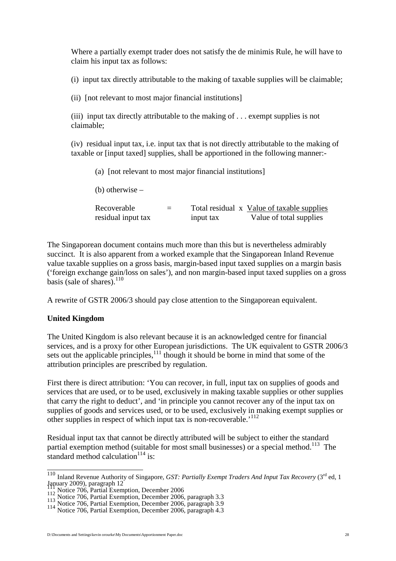Where a partially exempt trader does not satisfy the de minimis Rule, he will have to claim his input tax as follows:

(i) input tax directly attributable to the making of taxable supplies will be claimable;

(ii) [not relevant to most major financial institutions]

(iii) input tax directly attributable to the making of . . . exempt supplies is not claimable;

(iv) residual input tax, i.e. input tax that is not directly attributable to the making of taxable or [input taxed] supplies, shall be apportioned in the following manner:-

(a) [not relevant to most major financial institutions] (b) otherwise –  $Recoverable = Total residual x Value of the tangle supplies$ residual input tax input tax Value of total supplies

The Singaporean document contains much more than this but is nevertheless admirably succinct. It is also apparent from a worked example that the Singaporean Inland Revenue value taxable supplies on a gross basis, margin-based input taxed supplies on a margin basis ('foreign exchange gain/loss on sales'), and non margin-based input taxed supplies on a gross basis (sale of shares). $110$ 

A rewrite of GSTR 2006/3 should pay close attention to the Singaporean equivalent.

## **United Kingdom**

The United Kingdom is also relevant because it is an acknowledged centre for financial services, and is a proxy for other European jurisdictions. The UK equivalent to GSTR 2006/3 sets out the applicable principles, $\frac{1}{11}$  though it should be borne in mind that some of the attribution principles are prescribed by regulation.

First there is direct attribution: 'You can recover, in full, input tax on supplies of goods and services that are used, or to be used, exclusively in making taxable supplies or other supplies that carry the right to deduct', and 'in principle you cannot recover any of the input tax on supplies of goods and services used, or to be used, exclusively in making exempt supplies or other supplies in respect of which input tax is non-recoverable.<sup>'[112](#page-27-2)</sup>

Residual input tax that cannot be directly attributed will be subject to either the standard partial exemption method (suitable for most small businesses) or a special method.<sup>[113](#page-27-3)</sup> The standard method calculation $114$  is:

<span id="page-27-0"></span><sup>&</sup>lt;sup>110</sup> Inland Revenue Authority of Singapore, *GST: Partially Exempt Traders And Input Tax Recovery* (3<sup>rd</sup> ed, 1) January 2009), paragraph 12

<span id="page-27-2"></span><span id="page-27-1"></span>

<span id="page-27-3"></span>

Figure 2009, paragraph 12<br>
112 Notice 706, Partial Exemption, December 2006<br>
113 Notice 706, Partial Exemption, December 2006, paragraph 3.3<br>
114 Notice 706, Partial Exemption, December 2006, paragraph 3.9<br>
114 Notice 706,

<span id="page-27-4"></span>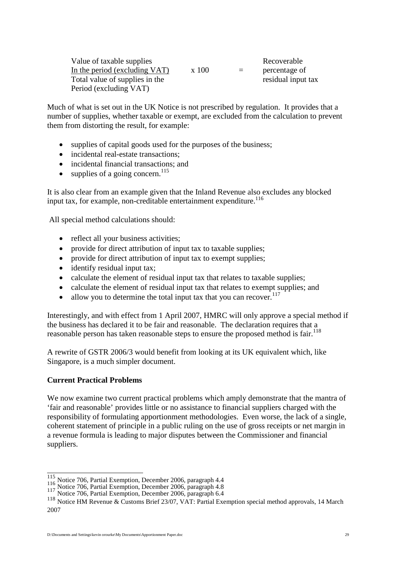| Value of taxable supplies      | Recoverable |     |                    |
|--------------------------------|-------------|-----|--------------------|
| In the period (excluding VAT)  | x 100       | $=$ | percentage of      |
| Total value of supplies in the |             |     | residual input tax |
| Period (excluding VAT)         |             |     |                    |

Much of what is set out in the UK Notice is not prescribed by regulation. It provides that a number of supplies, whether taxable or exempt, are excluded from the calculation to prevent them from distorting the result, for example:

- supplies of capital goods used for the purposes of the business:
- incidental real-estate transactions;
- incidental financial transactions; and
- supplies of a going concern.<sup>[115](#page-28-0)</sup>

It is also clear from an example given that the Inland Revenue also excludes any blocked input tax, for example, non-creditable entertainment expenditure. $116$ 

All special method calculations should:

- reflect all your business activities;
- provide for direct attribution of input tax to taxable supplies;
- provide for direct attribution of input tax to exempt supplies;
- identify residual input tax;
- calculate the element of residual input tax that relates to taxable supplies;
- calculate the element of residual input tax that relates to exempt supplies; and
- allow you to determine the total input tax that you can recover. $117$

Interestingly, and with effect from 1 April 2007, HMRC will only approve a special method if the business has declared it to be fair and reasonable. The declaration requires that a reasonableperson has taken reasonable steps to ensure the proposed method is fair.<sup>118</sup>

A rewrite of GSTR 2006/3 would benefit from looking at its UK equivalent which, like Singapore, is a much simpler document.

#### **Current Practical Problems**

We now examine two current practical problems which amply demonstrate that the mantra of 'fair and reasonable' provides little or no assistance to financial suppliers charged with the responsibility of formulating apportionment methodologies. Even worse, the lack of a single, coherent statement of principle in a public ruling on the use of gross receipts or net margin in a revenue formula is leading to major disputes between the Commissioner and financial suppliers.

<span id="page-28-1"></span><span id="page-28-0"></span>

<span id="page-28-2"></span>

<sup>115</sup> Notice 706, Partial Exemption, December 2006, paragraph 4.4<br>116 Notice 706, Partial Exemption, December 2006, paragraph 4.8<br>117 Notice 706, Partial Exemption, December 2006, paragraph 6.4

<span id="page-28-3"></span><sup>118</sup> Notice HM Revenue & Customs Brief 23/07, VAT: Partial Exemption special method approvals, 14 March 2007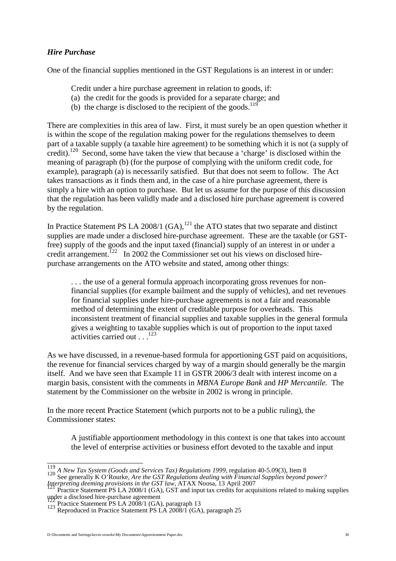## *Hire Purchase*

One of the financial supplies mentioned in the GST Regulations is an interest in or under:

- Credit under a hire purchase agreement in relation to goods, if:
- (a) the credit for the goods is provided for a separate charge; and
- (b) the charge is disclosed to the recipient of the goods.<sup>[119](#page-29-0)</sup>

There are complexities in this area of law. First, it must surely be an open question whether it is within the scope of the regulation making power for the regulations themselves to deem part of a taxable supply (a taxable hire agreement) to be something which it is not (a supply of credit).[120](#page-29-1) Second, some have taken the view that because a 'charge' is disclosed within the meaning of paragraph (b) (for the purpose of complying with the uniform credit code, for example), paragraph (a) is necessarily satisfied. But that does not seem to follow. The Act takes transactions as it finds them and, in the case of a hire purchase agreement, there is simply a hire with an option to purchase. But let us assume for the purpose of this discussion that the regulation has been validly made and a disclosed hire purchase agreement is covered by the regulation.

In Practice Statement PS LA 2008/1  $(GA)$ ,<sup>[121](#page-29-2)</sup>, the ATO states that two separate and distinct supplies are made under a disclosed hire-purchase agreement. These are the taxable (or GSTfree) supply of the goods and the input taxed (financial) supply of an interest in or under a credit arrangement.<sup>[122](#page-29-3)</sup> In 2002 the Commissioner set out his views on disclosed hirepurchase arrangements on the ATO website and stated, among other things:

... the use of a general formula approach incorporating gross revenues for nonfinancial supplies (for example bailment and the supply of vehicles), and net revenues for financial supplies under hire-purchase agreements is not a fair and reasonable method of determining the extent of creditable purpose for overheads. This inconsistent treatment of financial supplies and taxable supplies in the general formula gives a weighting to taxable supplies which is out of proportion to the input taxed activities carried out...<sup>123</sup>

As we have discussed, in a revenue-based formula for apportioning GST paid on acquisitions, the revenue for financial services charged by way of a margin should generally be the margin itself. And we have seen that Example 11 in GSTR 2006/3 dealt with interest income on a margin basis, consistent with the comments in *MBNA Europe Bank* and *HP Mercantile.* The statement by the Commissioner on the website in 2002 is wrong in principle.

In the more recent Practice Statement (which purports not to be a public ruling), the Commissioner states:

A justifiable apportionment methodology in this context is one that takes into account the level of enterprise activities or business effort devoted to the taxable and input

<span id="page-29-1"></span><span id="page-29-0"></span><sup>&</sup>lt;sup>119</sup> *A New Tax System (Goods and Services Tax) Regulations 1999*, regulation 40-5.09(3), Item 8<br>120 See generally K O'Rourke, *Are the GST Regulations dealing with Financial Supplies beyond power?* 

<span id="page-29-2"></span>*Interpreting deeming provisions in the GST law*, ATAX Noosa, 13 April 2007<br><sup>121</sup> Practice Statement PS LA 2008/1 (GA), GST and input tax credits for acquisitions related to making supplies

under a disclosed hire-purchase agreement<br><sup>122</sup> Practice Statement PS LA 2008/1 (GA), paragraph 13<br><sup>123</sup> Reproduced in Practice Statement PS LA 2008/1 (GA), paragraph 25

<span id="page-29-4"></span><span id="page-29-3"></span>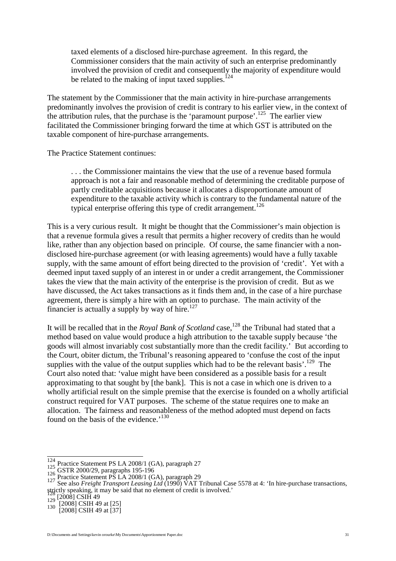taxed elements of a disclosed hire-purchase agreement. In this regard, the Commissioner considers that the main activity of such an enterprise predominantly involved the provision of credit and consequently the majority of expenditure would be related to the making of input taxed supplies.<sup>[124](#page-30-0)</sup>

The statement by the Commissioner that the main activity in hire-purchase arrangements predominantly involves the provision of credit is contrary to his earlier view, in the context of the attribution rules, that the purchase is the 'paramount purpose'.<sup>[125](#page-30-1)</sup> The earlier view facilitated the Commissioner bringing forward the time at which GST is attributed on the taxable component of hire-purchase arrangements.

The Practice Statement continues:

. . . the Commissioner maintains the view that the use of a revenue based formula approach is not a fair and reasonable method of determining the creditable purpose of partly creditable acquisitions because it allocates a disproportionate amount of expenditure to the taxable activity which is contrary to the fundamental nature of the typical enterprise offering this type of credit arrangement.<sup>[126](#page-30-2)</sup>

This is a very curious result. It might be thought that the Commissioner's main objection is that a revenue formula gives a result that permits a higher recovery of credits than he would like, rather than any objection based on principle. Of course, the same financier with a nondisclosed hire-purchase agreement (or with leasing agreements) would have a fully taxable supply, with the same amount of effort being directed to the provision of 'credit'. Yet with a deemed input taxed supply of an interest in or under a credit arrangement, the Commissioner takes the view that the main activity of the enterprise is the provision of credit. But as we have discussed, the Act takes transactions as it finds them and, in the case of a hire purchase agreement, there is simply a hire with an option to purchase. The main activity of the financier is actually a supply by way of hire.<sup>[127](#page-30-3)</sup>

It will be recalled that in the *Royal Bank of Scotland* case,<sup>[128](#page-30-4)</sup> the Tribunal had stated that a method based on value would produce a high attribution to the taxable supply because 'the goods will almost invariably cost substantially more than the credit facility.' But according to the Court, obiter dictum, the Tribunal's reasoning appeared to 'confuse the cost of the input supplies with the value of the output supplies which had to be the relevant basis'.<sup>[129](#page-30-5)</sup> The Court also noted that: 'value might have been considered as a possible basis for a result approximating to that sought by [the bank]. This is not a case in which one is driven to a wholly artificial result on the simple premise that the exercise is founded on a wholly artificial construct required for VAT purposes. The scheme of the statue requires one to make an allocation. The fairness and reasonableness of the method adopted must depend on facts found on the basis of the evidence.<sup>'[130](#page-30-6)</sup>

<span id="page-30-0"></span>

<span id="page-30-2"></span><span id="page-30-1"></span>

<span id="page-30-3"></span>

<sup>&</sup>lt;sup>124</sup><br>
<sup>125</sup> Practice Statement PS LA 2008/1 (GA), paragraph 27<br>
<sup>126</sup> GSTR 2000/29, paragraphs 195-196<br>
<sup>127</sup> Practice Statement PS LA 2008/1 (GA), paragraph 29<br>
See also *Freight Transport Leasing Ltd* (1990) VAT Tribun strictly speaking, it may be said that no element of credit is involved.'<br>  $\frac{128}{129}$  [2008] CSIH 49 at [25]<br>  $\frac{12008}{2008}$  CSIH 49 at [37]

<span id="page-30-5"></span><span id="page-30-4"></span>

<span id="page-30-6"></span>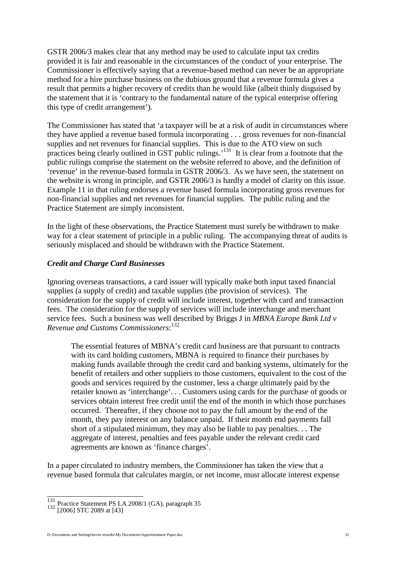GSTR 2006/3 makes clear that any method may be used to calculate input tax credits provided it is fair and reasonable in the circumstances of the conduct of your enterprise. The Commissioner is effectively saying that a revenue-based method can never be an appropriate method for a hire purchase business on the dubious ground that a revenue formula gives a result that permits a higher recovery of credits than he would like (albeit thinly disguised by the statement that it is 'contrary to the fundamental nature of the typical enterprise offering this type of credit arrangement').

The Commissioner has stated that 'a taxpayer will be at a risk of audit in circumstances where they have applied a revenue based formula incorporating . . . gross revenues for non-financial supplies and net revenues for financial supplies. This is due to the ATO view on such practices being clearly outlined in GST public rulings.<sup>[131](#page-31-0)</sup> It is clear from a footnote that the public rulings comprise the statement on the website referred to above, and the definition of 'revenue' in the revenue-based formula in GSTR 2006/3. As we have seen, the statement on the website is wrong in principle, and GSTR 2006/3 is hardly a model of clarity on this issue. Example 11 in that ruling endorses a revenue based formula incorporating gross revenues for non-financial supplies and net revenues for financial supplies. The public ruling and the Practice Statement are simply inconsistent.

In the light of these observations, the Practice Statement must surely be withdrawn to make way for a clear statement of principle in a public ruling. The accompanying threat of audits is seriously misplaced and should be withdrawn with the Practice Statement.

#### *Credit and Charge Card Businesses*

Ignoring overseas transactions, a card issuer will typically make both input taxed financial supplies (a supply of credit) and taxable supplies (the provision of services). The consideration for the supply of credit will include interest, together with card and transaction fees. The consideration for the supply of services will include interchange and merchant service fees. Such a business was well described by Briggs J in *MBNA Europe Bank Ltd v Revenue and Customs Commissioners*: [132](#page-31-1)

The essential features of MBNA's credit card business are that pursuant to contracts with its card holding customers, MBNA is required to finance their purchases by making funds available through the credit card and banking systems, ultimately for the benefit of retailers and other suppliers to those customers, equivalent to the cost of the goods and services required by the customer, less a charge ultimately paid by the retailer known as 'interchange'. . . Customers using cards for the purchase of goods or services obtain interest free credit until the end of the month in which those purchases occurred. Thereafter, if they choose not to pay the full amount by the end of the month, they pay interest on any balance unpaid. If their month end payments fall short of a stipulated minimum, they may also be liable to pay penalties. . . The aggregate of interest, penalties and fees payable under the relevant credit card agreements are known as 'finance charges'.

In a paper circulated to industry members, the Commissioner has taken the view that a revenue based formula that calculates margin, or net income, must allocate interest expense

<span id="page-31-0"></span><sup>131</sup> Practice Statement PS LA 2008/1 (GA), paragraph 35 <sup>132</sup> [2006] STC 2089 at [43]

<span id="page-31-1"></span>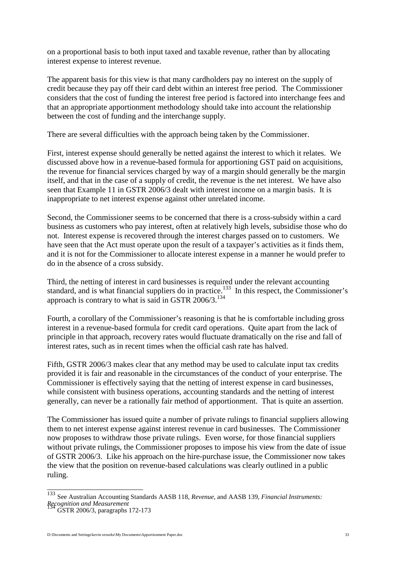on a proportional basis to both input taxed and taxable revenue, rather than by allocating interest expense to interest revenue.

The apparent basis for this view is that many cardholders pay no interest on the supply of credit because they pay off their card debt within an interest free period. The Commissioner considers that the cost of funding the interest free period is factored into interchange fees and that an appropriate apportionment methodology should take into account the relationship between the cost of funding and the interchange supply.

There are several difficulties with the approach being taken by the Commissioner.

First, interest expense should generally be netted against the interest to which it relates. We discussed above how in a revenue-based formula for apportioning GST paid on acquisitions, the revenue for financial services charged by way of a margin should generally be the margin itself, and that in the case of a supply of credit, the revenue is the net interest. We have also seen that Example 11 in GSTR 2006/3 dealt with interest income on a margin basis. It is inappropriate to net interest expense against other unrelated income.

Second, the Commissioner seems to be concerned that there is a cross-subsidy within a card business as customers who pay interest, often at relatively high levels, subsidise those who do not. Interest expense is recovered through the interest charges passed on to customers. We have seen that the Act must operate upon the result of a taxpayer's activities as it finds them, and it is not for the Commissioner to allocate interest expense in a manner he would prefer to do in the absence of a cross subsidy.

Third, the netting of interest in card businesses is required under the relevant accounting standard, and is what financial suppliers do in practice.<sup>[133](#page-32-0)</sup> In this respect, the Commissioner's approach is contrary to what is said in GSTR  $2006/3$ .<sup>[134](#page-32-1)</sup>

Fourth, a corollary of the Commissioner's reasoning is that he is comfortable including gross interest in a revenue-based formula for credit card operations. Quite apart from the lack of principle in that approach, recovery rates would fluctuate dramatically on the rise and fall of interest rates, such as in recent times when the official cash rate has halved.

Fifth, GSTR 2006/3 makes clear that any method may be used to calculate input tax credits provided it is fair and reasonable in the circumstances of the conduct of your enterprise. The Commissioner is effectively saying that the netting of interest expense in card businesses, while consistent with business operations, accounting standards and the netting of interest generally, can never be a rationally fair method of apportionment. That is quite an assertion.

The Commissioner has issued quite a number of private rulings to financial suppliers allowing them to net interest expense against interest revenue in card businesses. The Commissioner now proposes to withdraw those private rulings. Even worse, for those financial suppliers without private rulings, the Commissioner proposes to impose his view from the date of issue of GSTR 2006/3. Like his approach on the hire-purchase issue, the Commissioner now takes the view that the position on revenue-based calculations was clearly outlined in a public ruling.

<span id="page-32-0"></span><sup>133</sup> See Australian Accounting Standards AASB 118, *Revenue*, and AASB 139, *Financial Instruments: Recognition and Measurement* <sup>134</sup> GSTR 2006/3, paragraphs 172-173

<span id="page-32-1"></span>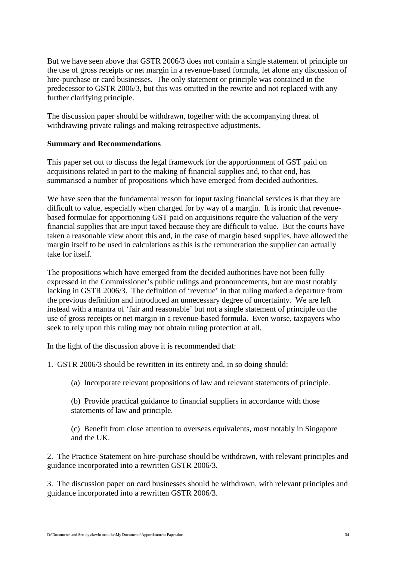But we have seen above that GSTR 2006/3 does not contain a single statement of principle on the use of gross receipts or net margin in a revenue-based formula, let alone any discussion of hire-purchase or card businesses. The only statement or principle was contained in the predecessor to GSTR 2006/3, but this was omitted in the rewrite and not replaced with any further clarifying principle.

The discussion paper should be withdrawn, together with the accompanying threat of withdrawing private rulings and making retrospective adjustments.

#### **Summary and Recommendations**

This paper set out to discuss the legal framework for the apportionment of GST paid on acquisitions related in part to the making of financial supplies and, to that end, has summarised a number of propositions which have emerged from decided authorities.

We have seen that the fundamental reason for input taxing financial services is that they are difficult to value, especially when charged for by way of a margin. It is ironic that revenuebased formulae for apportioning GST paid on acquisitions require the valuation of the very financial supplies that are input taxed because they are difficult to value. But the courts have taken a reasonable view about this and, in the case of margin based supplies, have allowed the margin itself to be used in calculations as this is the remuneration the supplier can actually take for itself.

The propositions which have emerged from the decided authorities have not been fully expressed in the Commissioner's public rulings and pronouncements, but are most notably lacking in GSTR 2006/3. The definition of 'revenue' in that ruling marked a departure from the previous definition and introduced an unnecessary degree of uncertainty. We are left instead with a mantra of 'fair and reasonable' but not a single statement of principle on the use of gross receipts or net margin in a revenue-based formula. Even worse, taxpayers who seek to rely upon this ruling may not obtain ruling protection at all.

In the light of the discussion above it is recommended that:

1. GSTR 2006/3 should be rewritten in its entirety and, in so doing should:

(a) Incorporate relevant propositions of law and relevant statements of principle.

(b) Provide practical guidance to financial suppliers in accordance with those statements of law and principle.

(c) Benefit from close attention to overseas equivalents, most notably in Singapore and the UK.

2. The Practice Statement on hire-purchase should be withdrawn, with relevant principles and guidance incorporated into a rewritten GSTR 2006/3.

3. The discussion paper on card businesses should be withdrawn, with relevant principles and guidance incorporated into a rewritten GSTR 2006/3.